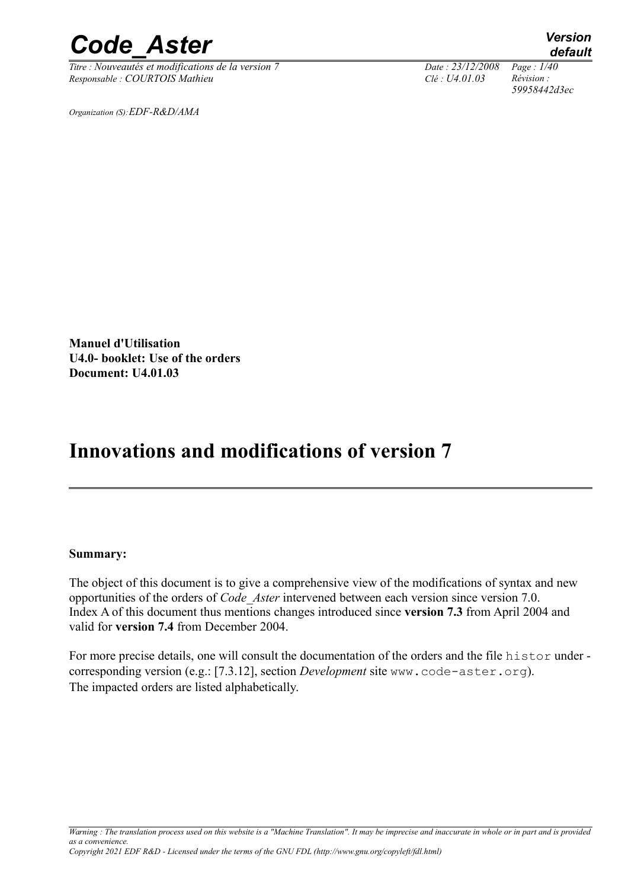*Titre : Nouveautés et modifications de la version 7 Date : 23/12/2008 Page : 1/40 Responsable : COURTOIS Mathieu Clé : U4.01.03 Révision :* 

*59958442d3ec*

*Organization (S):EDF-R&D/AMA*

**Manuel d'Utilisation U4.0- booklet: Use of the orders Document: U4.01.03**

# **Innovations and modifications of version 7**

#### **Summary:**

The object of this document is to give a comprehensive view of the modifications of syntax and new opportunities of the orders of *Code\_Aster* intervened between each version since version 7.0. Index A of this document thus mentions changes introduced since **version 7.3** from April 2004 and valid for **version 7.4** from December 2004.

For more precise details, one will consult the documentation of the orders and the file histor under corresponding version (e.g.: [7.3.12], section *Development* site www.code-aster.org). The impacted orders are listed alphabetically.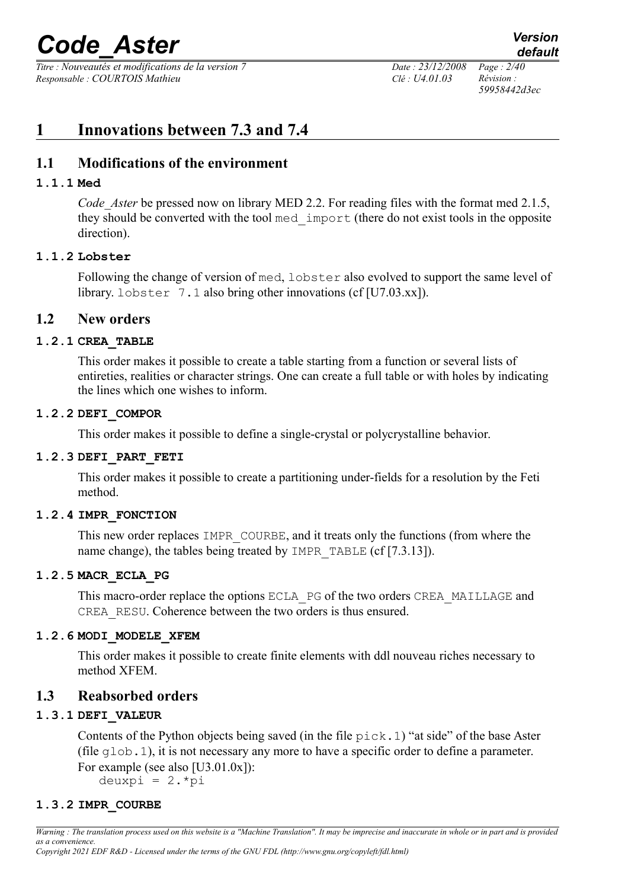*Titre : Nouveautés et modifications de la version 7 Date : 23/12/2008 Page : 2/40 Responsable : COURTOIS Mathieu Clé : U4.01.03 Révision :* 

*59958442d3ec*

# **1 Innovations between 7.3 and 7.4**

# **1.1 Modifications of the environment**

# **1.1.1 Med**

*Code Aster* be pressed now on library MED 2.2. For reading files with the format med 2.1.5, they should be converted with the tool med\_import (there do not exist tools in the opposite direction).

# **1.1.2 Lobster**

Following the change of version of med, lobster also evolved to support the same level of library. lobster 7.1 also bring other innovations (cf [U7.03.xx]).

# **1.2 New orders**

# **1.2.1 CREA\_TABLE**

This order makes it possible to create a table starting from a function or several lists of entireties, realities or character strings. One can create a full table or with holes by indicating the lines which one wishes to inform.

# **1.2.2 DEFI\_COMPOR**

This order makes it possible to define a single-crystal or polycrystalline behavior.

# **1.2.3 DEFI\_PART\_FETI**

This order makes it possible to create a partitioning under-fields for a resolution by the Feti method.

# **1.2.4 IMPR\_FONCTION**

This new order replaces IMPR COURBE, and it treats only the functions (from where the name change), the tables being treated by IMPR\_TABLE (cf [7.3.13]).

# **1.2.5 MACR\_ECLA\_PG**

This macro-order replace the options ECLA PG of the two orders CREA\_MAILLAGE and CREA\_RESU. Coherence between the two orders is thus ensured.

# **1.2.6 MODI\_MODELE\_XFEM**

This order makes it possible to create finite elements with ddl nouveau riches necessary to method XFEM.

# **1.3 Reabsorbed orders**

# **1.3.1 DEFI\_VALEUR**

Contents of the Python objects being saved (in the file  $\text{pick}.1$ ) "at side" of the base Aster (file glob.1), it is not necessary any more to have a specific order to define a parameter. For example (see also [U3.01.0x]): deuxpi =  $2.*pi$ 

# **1.3.2 IMPR\_COURBE**

*Warning : The translation process used on this website is a "Machine Translation". It may be imprecise and inaccurate in whole or in part and is provided as a convenience.*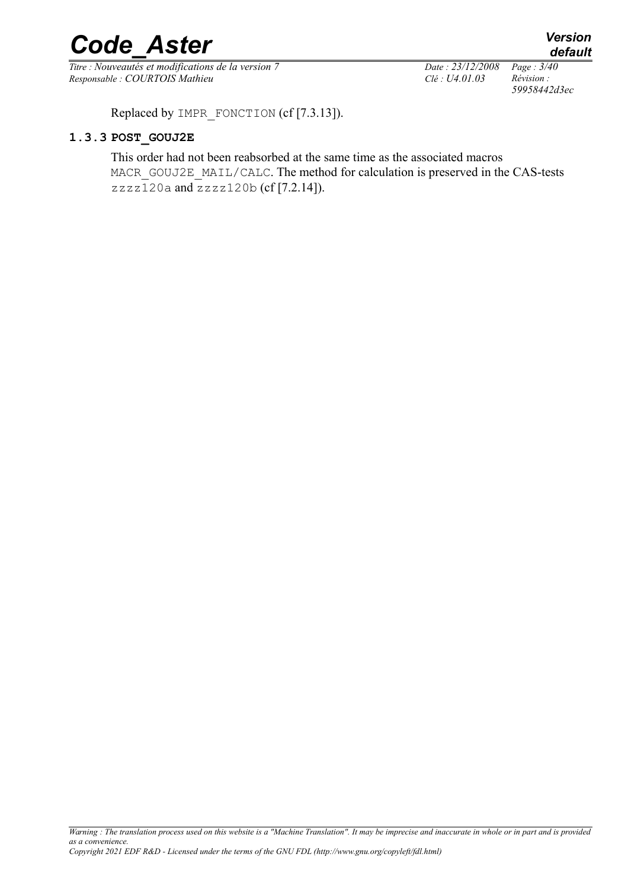*Titre : Nouveautés et modifications de la version 7 Date : 23/12/2008 Page : 3/40 Responsable : COURTOIS Mathieu Clé : U4.01.03 Révision :* 

*59958442d3ec*

Replaced by IMPR FONCTION (cf [7.3.13]).

#### **1.3.3 POST\_GOUJ2E**

This order had not been reabsorbed at the same time as the associated macros MACR\_GOUJ2E\_MAIL/CALC. The method for calculation is preserved in the CAS-tests zzzz120a and zzzz120b (cf [7.2.14]).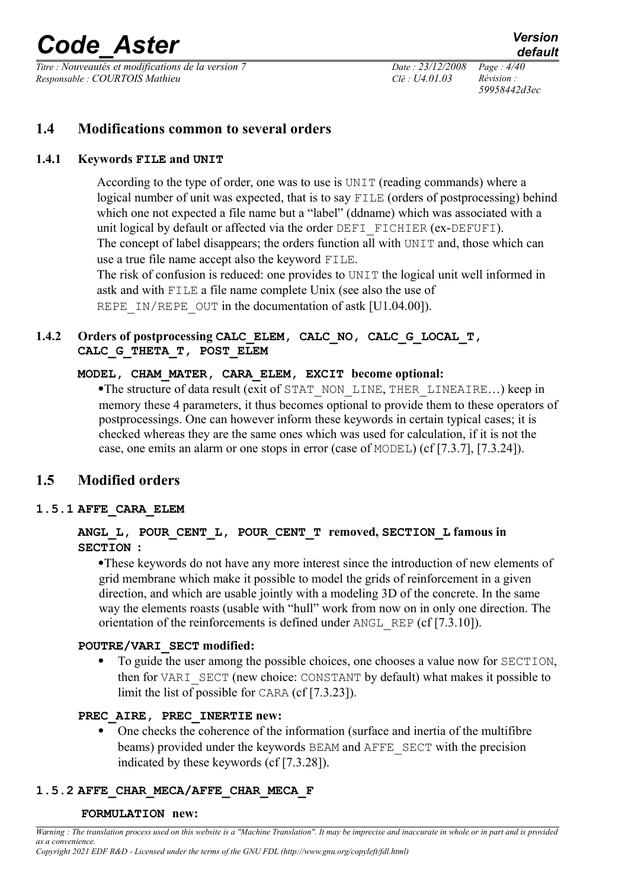*Titre : Nouveautés et modifications de la version 7 Date : 23/12/2008 Page : 4/40 Responsable : COURTOIS Mathieu Clé : U4.01.03 Révision :* 

*59958442d3ec*

# **1.4 Modifications common to several orders**

# **1.4.1 Keywords FILE and UNIT**

<span id="page-3-0"></span>According to the type of order, one was to use is UNIT (reading commands) where a logical number of unit was expected, that is to say FILE (orders of postprocessing) behind which one not expected a file name but a "label" (ddname) which was associated with a unit logical by default or affected via the order DEFI FICHIER (ex-DEFUFI). The concept of label disappears; the orders function all with UNIT and, those which can use a true file name accept also the keyword FILE.

The risk of confusion is reduced: one provides to UNIT the logical unit well informed in astk and with FILE a file name complete Unix (see also the use of REPE IN/REPE OUT in the documentation of astk [U1.04.00]).

# **1.4.2 Orders of postprocessing CALC\_ELEM, CALC\_NO, CALC\_G\_LOCAL\_T, CALC\_G\_THETA\_T, POST\_ELEM**

# **MODEL, CHAM\_MATER, CARA\_ELEM, EXCIT become optional:**

·The structure of data result (exit of STAT\_NON\_LINE, THER\_LINEAIRE…) keep in memory these 4 parameters, it thus becomes optional to provide them to these operators of postprocessings. One can however inform these keywords in certain typical cases; it is checked whereas they are the same ones which was used for calculation, if it is not the case, one emits an alarm or one stops in error (case of MODEL) (cf [7.3.7], [7.3.24]).

# **1.5 Modified orders**

# **1.5.1 AFFE\_CARA\_ELEM**

# **ANGL\_L, POUR\_CENT\_L, POUR\_CENT\_T removed, SECTION\_L famous in SECTION :**

·These keywords do not have any more interest since the introduction of new elements of grid membrane which make it possible to model the grids of reinforcement in a given direction, and which are usable jointly with a modeling 3D of the concrete. In the same way the elements roasts (usable with "hull" work from now on in only one direction. The orientation of the reinforcements is defined under ANGL\_REP (cf [7.3.10]).

# **POUTRE/VARI\_SECT modified:**

· To guide the user among the possible choices, one chooses a value now for SECTION, then for VARI\_SECT (new choice: CONSTANT by default) what makes it possible to limit the list of possible for CARA (cf [7.3.23]).

# **PREC\_AIRE, PREC\_INERTIE new:**

• One checks the coherence of the information (surface and inertia of the multifibre beams) provided under the keywords BEAM and AFFE\_SECT with the precision indicated by these keywords (cf [7.3.28]).

# **1.5.2 AFFE\_CHAR\_MECA/AFFE\_CHAR\_MECA\_F**

#### **FORMULATION new:**

*Warning : The translation process used on this website is a "Machine Translation". It may be imprecise and inaccurate in whole or in part and is provided as a convenience. Copyright 2021 EDF R&D - Licensed under the terms of the GNU FDL (http://www.gnu.org/copyleft/fdl.html)*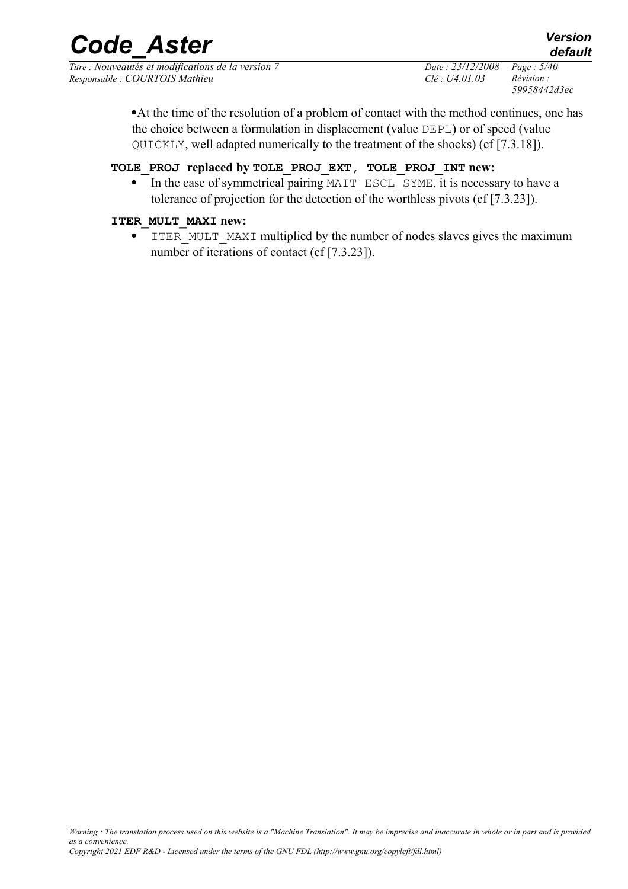*Titre : Nouveautés et modifications de la version 7 Date : 23/12/2008 Page : 5/40 Responsable : COURTOIS Mathieu Clé : U4.01.03 Révision :* 

*59958442d3ec*

*default*

·At the time of the resolution of a problem of contact with the method continues, one has the choice between a formulation in displacement (value DEPL) or of speed (value QUICKLY, well adapted numerically to the treatment of the shocks) (cf [7.3.18]).

### **TOLE\_PROJ replaced by TOLE\_PROJ\_EXT, TOLE\_PROJ\_INT new:**

• In the case of symmetrical pairing MAIT\_ESCL\_SYME, it is necessary to have a tolerance of projection for the detection of the worthless pivots (cf [7.3.23]).

#### **ITER\_MULT\_MAXI new:**

ITER MULT MAXI multiplied by the number of nodes slaves gives the maximum number of iterations of contact (cf [7.3.23]).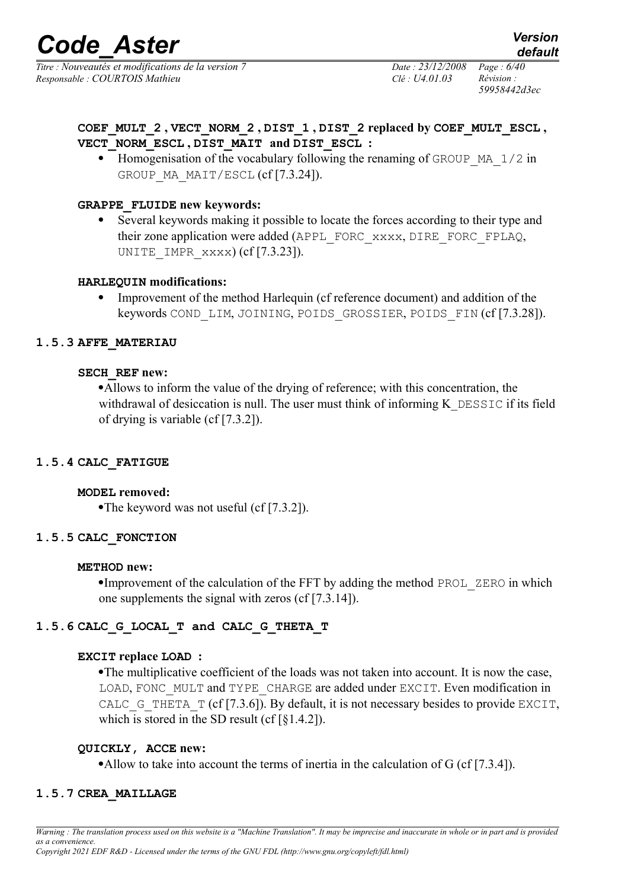*Titre : Nouveautés et modifications de la version 7 Date : 23/12/2008 Page : 6/40 Responsable : COURTOIS Mathieu Clé : U4.01.03 Révision :* 

*59958442d3ec*

**COEF\_MULT\_2 , VECT\_NORM\_2 , DIST\_1 , DIST\_2 replaced by COEF\_MULT\_ESCL , VECT\_NORM\_ESCL , DIST\_MAIT and DIST\_ESCL :**

Homogenisation of the vocabulary following the renaming of GROUP  $MA$  1/2 in GROUP MA MAIT/ESCL (cf [7.3.24]).

# **GRAPPE\_FLUIDE new keywords:**

· Several keywords making it possible to locate the forces according to their type and their zone application were added (APPL\_FORC\_xxxx, DIRE\_FORC\_FPLAQ, UNITE IMPR  $xxxx$ ) (cf [7.3.23]).

#### **HARLEQUIN modifications:**

· Improvement of the method Harlequin (cf reference document) and addition of the keywords COND\_LIM, JOINING, POIDS\_GROSSIER, POIDS\_FIN (cf [7.3.28]).

#### **1.5.3 AFFE\_MATERIAU**

#### **SECH\_REF new:**

·Allows to inform the value of the drying of reference; with this concentration, the withdrawal of desiccation is null. The user must think of informing K\_DESSIC if its field of drying is variable (cf [7.3.2]).

#### **1.5.4 CALC\_FATIGUE**

#### **MODEL removed:**

•The keyword was not useful (cf [7.3.2]).

#### **1.5.5 CALC\_FONCTION**

#### **METHOD new:**

•Improvement of the calculation of the FFT by adding the method PROL ZERO in which one supplements the signal with zeros (cf [7.3.14]).

# **1.5.6 CALC\_G\_LOCAL\_T and CALC\_G\_THETA\_T**

#### **EXCIT replace LOAD :**

·The multiplicative coefficient of the loads was not taken into account. It is now the case, LOAD, FONC\_MULT and TYPE\_CHARGE are added under EXCIT. Even modification in CALC G THETA  $T$  (cf [7.3.6]). By default, it is not necessary besides to provide EXCIT, which is stored in the SD result (cf [§1.4.2]).

#### **QUICKLY, ACCE new:**

•Allow to take into account the terms of inertia in the calculation of G (cf [7.3.4]).

# **1.5.7 CREA\_MAILLAGE**

*Warning : The translation process used on this website is a "Machine Translation". It may be imprecise and inaccurate in whole or in part and is provided as a convenience.*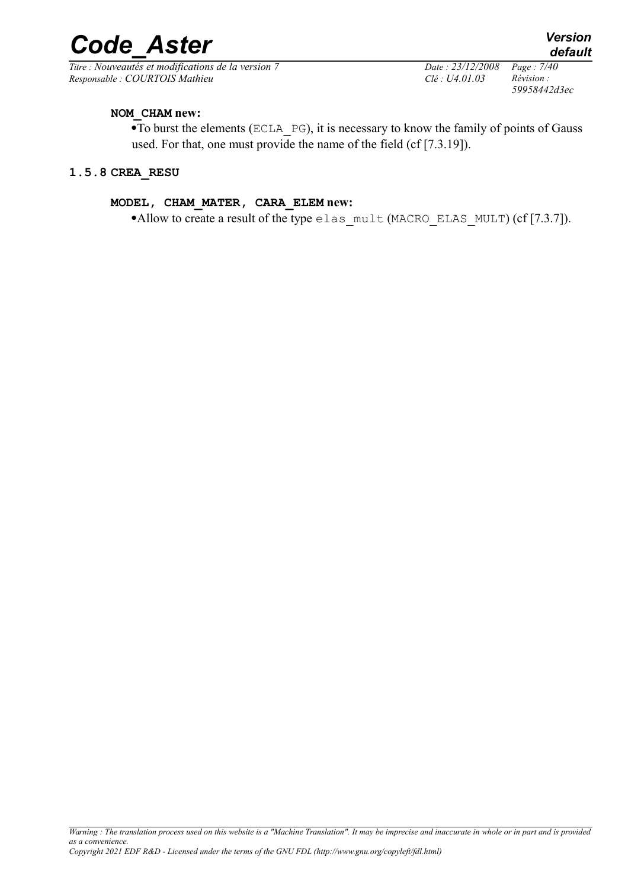*Titre : Nouveautés et modifications de la version 7 Date : 23/12/2008 Page : 7/40 Responsable : COURTOIS Mathieu Clé : U4.01.03 Révision :* 

*59958442d3ec*

#### **NOM\_CHAM new:**

·To burst the elements (ECLA\_PG), it is necessary to know the family of points of Gauss used. For that, one must provide the name of the field (cf [7.3.19]).

#### **1.5.8 CREA\_RESU**

#### **MODEL, CHAM\_MATER, CARA\_ELEM new:**

•Allow to create a result of the type elas  $mult$  (MACRO ELAS MULT) (cf [7.3.7]).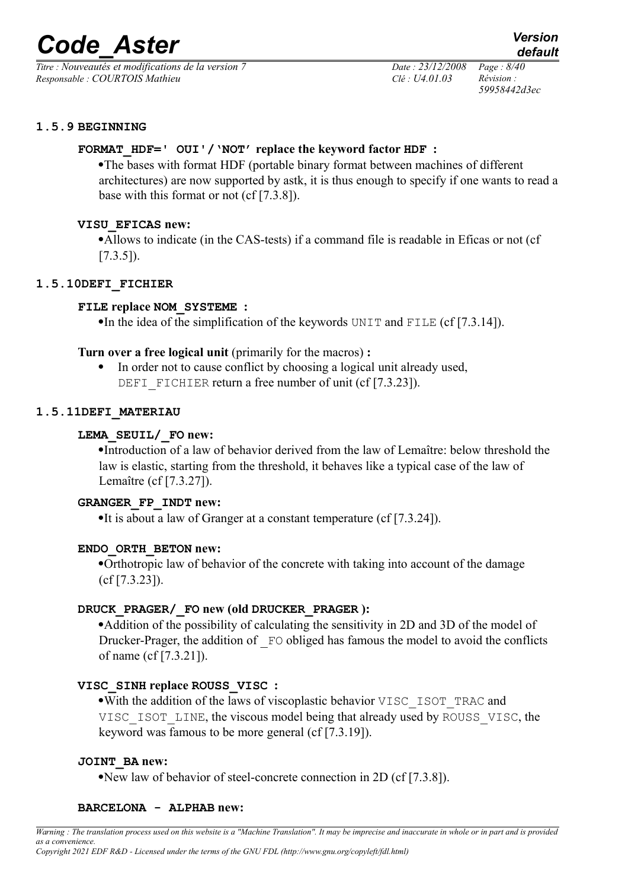*Titre : Nouveautés et modifications de la version 7 Date : 23/12/2008 Page : 8/40 Responsable : COURTOIS Mathieu Clé : U4.01.03 Révision :* 

*59958442d3ec*

#### **1.5.9 BEGINNING**

#### **FORMAT\_HDF=' OUI'/'NOT' replace the keyword factor HDF :**

·The bases with format HDF (portable binary format between machines of different architectures) are now supported by astk, it is thus enough to specify if one wants to read a base with this format or not (cf [7.3.8]).

#### **VISU\_EFICAS new:**

·Allows to indicate (in the CAS-tests) if a command file is readable in Eficas or not (cf  $[7.3.5]$ ).

#### **1.5.10DEFI\_FICHIER**

#### **FILE replace NOM\_SYSTEME :**

•In the idea of the simplification of the keywords UNIT and FILE (cf [7.3.14]).

- **Turn over a free logical unit** (primarily for the macros) **:**
	- · In order not to cause conflict by choosing a logical unit already used, DEFI FICHIER return a free number of unit (cf [7.3.23]).

#### **1.5.11DEFI\_MATERIAU**

#### **LEMA\_SEUIL/\_FO new:**

·Introduction of a law of behavior derived from the law of Lemaître: below threshold the law is elastic, starting from the threshold, it behaves like a typical case of the law of Lemaître (cf [7.3.27]).

#### **GRANGER\_FP\_INDT new:**

•It is about a law of Granger at a constant temperature (cf [7.3.24]).

#### **ENDO\_ORTH\_BETON new:**

·Orthotropic law of behavior of the concrete with taking into account of the damage (cf [7.3.23]).

#### **DRUCK\_PRAGER/\_FO new (old DRUCKER\_PRAGER ):**

·Addition of the possibility of calculating the sensitivity in 2D and 3D of the model of Drucker-Prager, the addition of  $F$ O obliged has famous the model to avoid the conflicts of name (cf [7.3.21]).

#### **VISC\_SINH replace ROUSS\_VISC :**

·With the addition of the laws of viscoplastic behavior VISC\_ISOT\_TRAC and VISC\_ISOT\_LINE, the viscous model being that already used by ROUSS\_VISC, the keyword was famous to be more general (cf [7.3.19]).

#### **JOINT\_BA new:**

·New law of behavior of steel-concrete connection in 2D (cf [7.3.8]).

#### **BARCELONA - ALPHAB new:**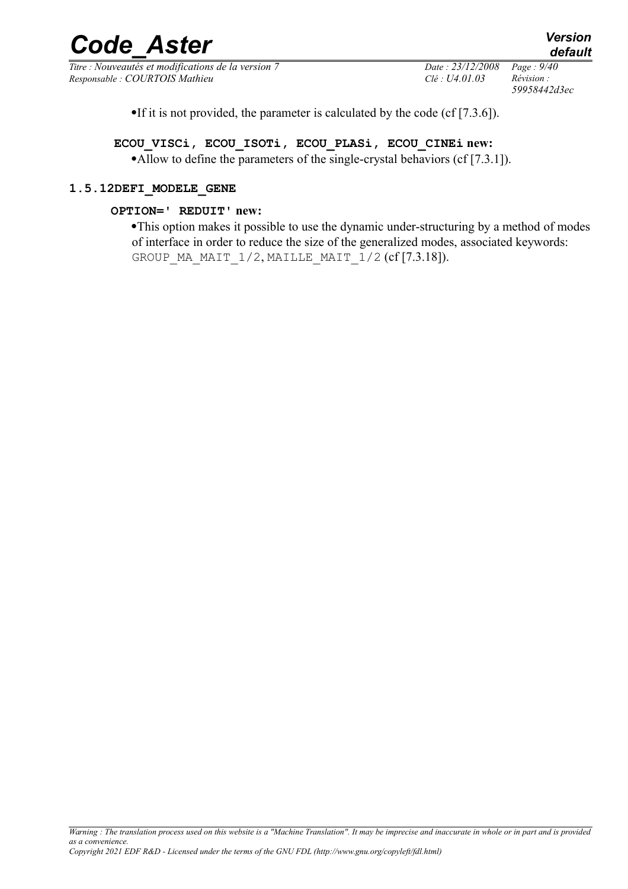*Titre : Nouveautés et modifications de la version 7 Date : 23/12/2008 Page : 9/40 Responsable : COURTOIS Mathieu Clé : U4.01.03 Révision :* 

*59958442d3ec*

·If it is not provided, the parameter is calculated by the code (cf [7.3.6]).

**ECOU\_VISCi, ECOU\_ISOTi, ECOU\_PLASi, ECOU\_CINEi new:** •Allow to define the parameters of the single-crystal behaviors (cf [7.3.1]).

#### **1.5.12DEFI\_MODELE\_GENE**

#### **OPTION=' REDUIT' new:**

·This option makes it possible to use the dynamic under-structuring by a method of modes of interface in order to reduce the size of the generalized modes, associated keywords: GROUP MA\_MAIT\_1/2, MAILLE\_MAIT\_1/2  $(cf [7.3.18])$ .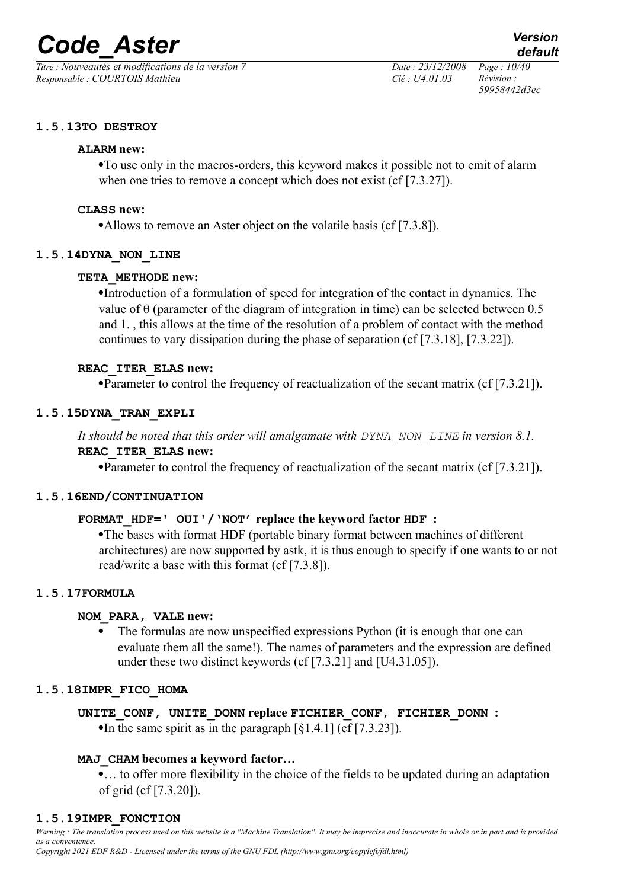*Titre : Nouveautés et modifications de la version 7 Date : 23/12/2008 Page : 10/40 Responsable : COURTOIS Mathieu Clé : U4.01.03 Révision :* 

*59958442d3ec*

### **1.5.13TO DESTROY**

#### **ALARM new:**

·To use only in the macros-orders, this keyword makes it possible not to emit of alarm when one tries to remove a concept which does not exist (cf [7.3.27]).

#### **CLASS new:**

•Allows to remove an Aster object on the volatile basis (cf [7.3.8]).

#### **1.5.14DYNA\_NON\_LINE**

#### **TETA\_METHODE new:**

·Introduction of a formulation of speed for integration of the contact in dynamics. The value of  $\theta$  (parameter of the diagram of integration in time) can be selected between 0.5 and 1. , this allows at the time of the resolution of a problem of contact with the method continues to vary dissipation during the phase of separation (cf [7.3.18], [7.3.22]).

#### **REAC\_ITER\_ELAS new:**

·Parameter to control the frequency of reactualization of the secant matrix (cf [7.3.21]).

#### **1.5.15DYNA\_TRAN\_EXPLI**

### *It should be noted that this order will amalgamate with DYNA\_NON\_LINE in version 8.1.* **REAC\_ITER\_ELAS new:**

·Parameter to control the frequency of reactualization of the secant matrix (cf [7.3.21]).

#### **1.5.16END/CONTINUATION**

#### **FORMAT\_HDF=' OUI'/'NOT' replace the keyword factor HDF :**

·The bases with format HDF (portable binary format between machines of different architectures) are now supported by astk, it is thus enough to specify if one wants to or not read/write a base with this format (cf [7.3.8]).

#### **1.5.17FORMULA**

#### **NOM\_PARA, VALE new:**

· The formulas are now unspecified expressions Python (it is enough that one can evaluate them all the same!). The names of parameters and the expression are defined under these two distinct keywords (cf [7.3.21] and [U4.31.05]).

#### **1.5.18IMPR\_FICO\_HOMA**

**UNITE\_CONF, UNITE\_DONN replace FICHIER\_CONF, FICHIER\_DONN :** •In the same spirit as in the paragraph  $\lceil \xi \cdot 1.4.1 \rceil$  (cf  $\lceil 7.3.23 \rceil$ ).

#### **MAJ\_CHAM becomes a keyword factor…**

·… to offer more flexibility in the choice of the fields to be updated during an adaptation of grid (cf [7.3.20]).

#### **1.5.19IMPR\_FONCTION**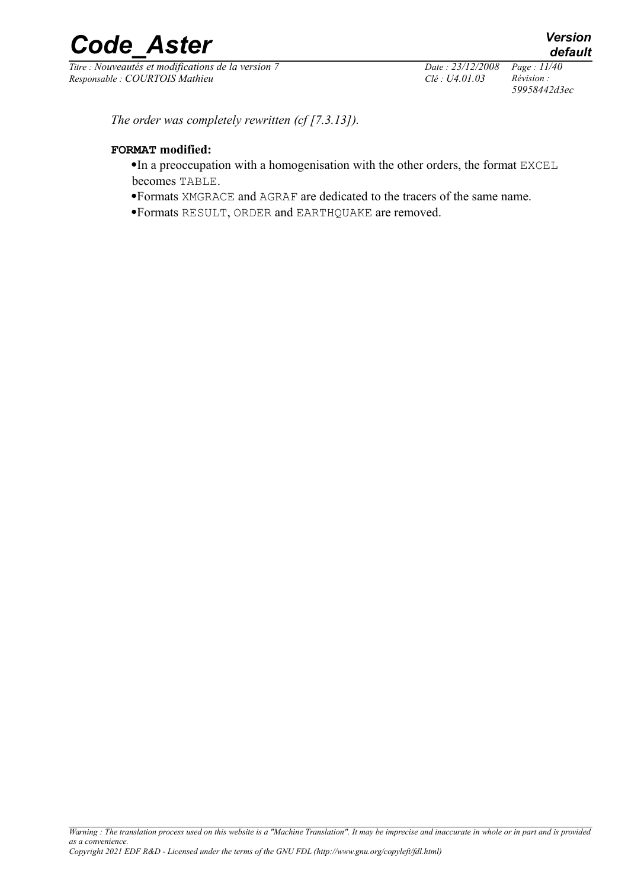*Titre : Nouveautés et modifications de la version 7 Date : 23/12/2008 Page : 11/40 Responsable : COURTOIS Mathieu Clé : U4.01.03 Révision :* 

*59958442d3ec*

*The order was completely rewritten (cf [7.3.13]).*

#### **FORMAT modified:**

- ·In a preoccupation with a homogenisation with the other orders, the format EXCEL becomes TABLE.
- ·Formats XMGRACE and AGRAF are dedicated to the tracers of the same name.
- ·Formats RESULT, ORDER and EARTHQUAKE are removed.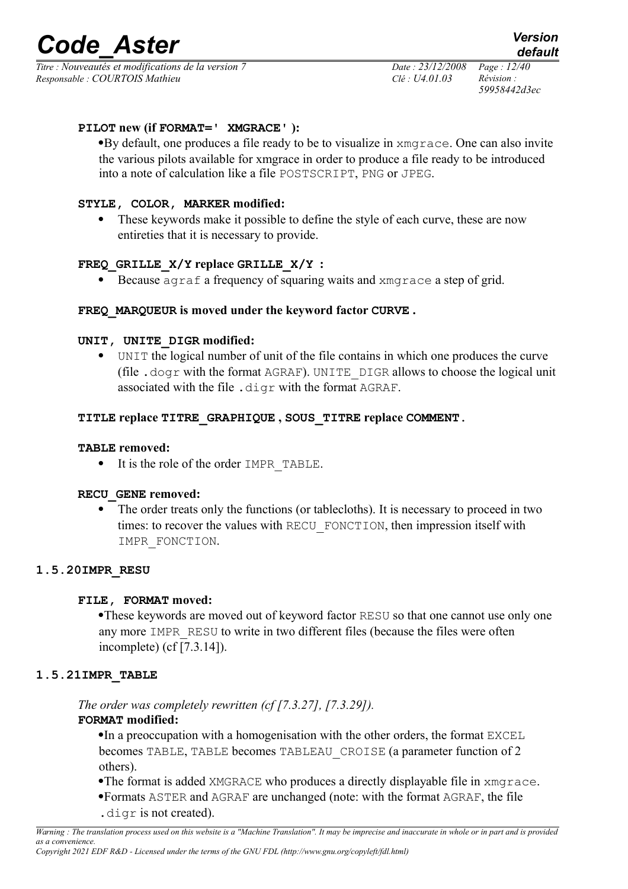*Titre : Nouveautés et modifications de la version 7 Date : 23/12/2008 Page : 12/40 Responsable : COURTOIS Mathieu Clé : U4.01.03 Révision :* 

*59958442d3ec*

#### **PILOT new (if FORMAT=' XMGRACE' ):**

·By default, one produces a file ready to be to visualize in xmgrace. One can also invite the various pilots available for xmgrace in order to produce a file ready to be introduced into a note of calculation like a file POSTSCRIPT, PNG or JPEG.

### **STYLE, COLOR, MARKER modified:**

These keywords make it possible to define the style of each curve, these are now entireties that it is necessary to provide.

# **FREQ\_GRILLE\_X/Y replace GRILLE\_X/Y :**

Because agraf a frequency of squaring waits and xmgrace a step of grid.

#### **FREQ\_MARQUEUR is moved under the keyword factor CURVE .**

#### **UNIT, UNITE\_DIGR modified:**

· UNIT the logical number of unit of the file contains in which one produces the curve (file .dogr with the format AGRAF). UNITE\_DIGR allows to choose the logical unit associated with the file .digr with the format AGRAF.

#### **TITLE replace TITRE\_GRAPHIQUE , SOUS\_TITRE replace COMMENT.**

#### **TABLE removed:**

· It is the role of the order IMPR\_TABLE.

#### **RECU\_GENE removed:**

The order treats only the functions (or tablecloths). It is necessary to proceed in two times: to recover the values with RECU\_FONCTION, then impression itself with IMPR\_FONCTION.

#### **1.5.20IMPR\_RESU**

#### **FILE, FORMAT moved:**

·These keywords are moved out of keyword factor RESU so that one cannot use only one any more IMPR\_RESU to write in two different files (because the files were often incomplete) (cf [7.3.14]).

#### **1.5.21IMPR\_TABLE**

#### *The order was completely rewritten (cf [7.3.27], [7.3.29]).* **FORMAT modified:**

•In a preoccupation with a homogenisation with the other orders, the format EXCEL becomes TABLE, TABLE becomes TABLEAU\_CROISE (a parameter function of 2 others).

- ·The format is added XMGRACE who produces a directly displayable file in xmgrace.
- ·Formats ASTER and AGRAF are unchanged (note: with the format AGRAF, the file .digr is not created).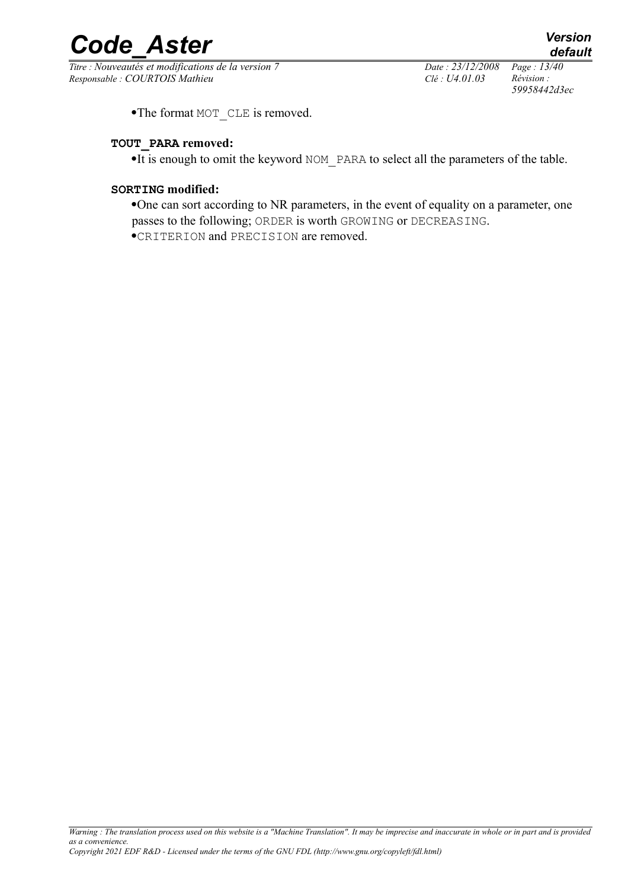*Titre : Nouveautés et modifications de la version 7 Date : 23/12/2008 Page : 13/40 Responsable : COURTOIS Mathieu Clé : U4.01.03 Révision :* 

*59958442d3ec*

•The format MOT\_CLE is removed.

#### **TOUT\_PARA removed:**

·It is enough to omit the keyword NOM\_PARA to select all the parameters of the table.

#### **SORTING modified:**

·One can sort according to NR parameters, in the event of equality on a parameter, one passes to the following; ORDER is worth GROWING or DECREASING. ·CRITERION and PRECISION are removed.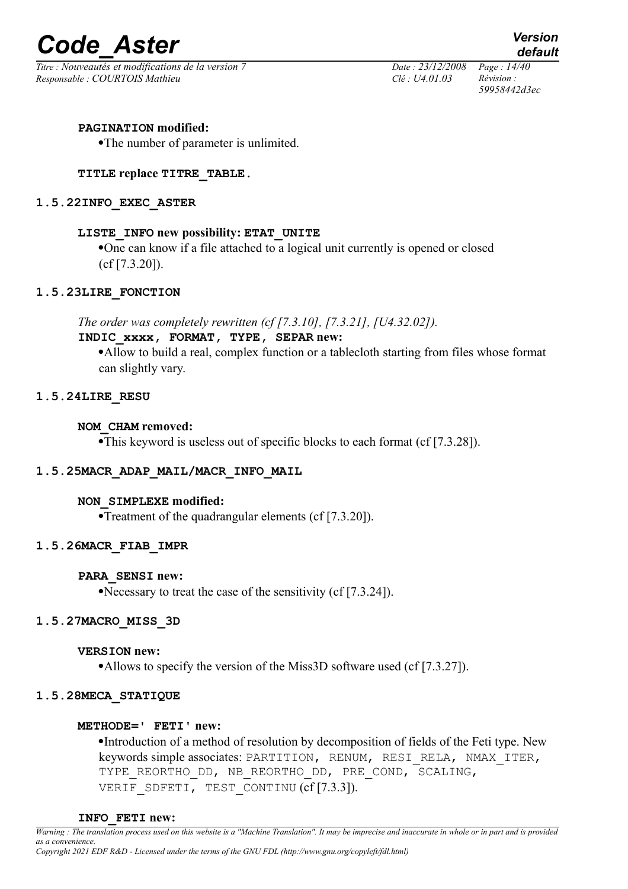*Titre : Nouveautés et modifications de la version 7 Date : 23/12/2008 Page : 14/40 Responsable : COURTOIS Mathieu Clé : U4.01.03 Révision :* 

*59958442d3ec*

#### **PAGINATION modified:**

·The number of parameter is unlimited.

#### **TITLE replace TITRE\_TABLE.**

#### **1.5.22INFO\_EXEC\_ASTER**

#### **LISTE\_INFO new possibility: ETAT\_UNITE**

·One can know if a file attached to a logical unit currently is opened or closed (cf [7.3.20]).

#### **1.5.23LIRE\_FONCTION**

*The order was completely rewritten (cf [7.3.10], [7.3.21], [U4.32.02]).*

#### **INDIC\_xxxx, FORMAT, TYPE, SEPAR new:**

·Allow to build a real, complex function or a tablecloth starting from files whose format can slightly vary.

#### **1.5.24LIRE\_RESU**

#### **NOM\_CHAM removed:**

·This keyword is useless out of specific blocks to each format (cf [7.3.28]).

# **1.5.25MACR\_ADAP\_MAIL/MACR\_INFO\_MAIL**

#### **NON\_SIMPLEXE modified:**

·Treatment of the quadrangular elements (cf [7.3.20]).

#### **1.5.26MACR\_FIAB\_IMPR**

#### **PARA\_SENSI new:**

·Necessary to treat the case of the sensitivity (cf [7.3.24]).

#### **1.5.27MACRO\_MISS\_3D**

#### **VERSION new:**

•Allows to specify the version of the Miss3D software used (cf [7.3.27]).

#### **1.5.28MECA\_STATIQUE**

#### **METHODE=' FETI' new:**

·Introduction of a method of resolution by decomposition of fields of the Feti type. New keywords simple associates: PARTITION, RENUM, RESI\_RELA, NMAX\_ITER, TYPE REORTHO DD, NB REORTHO DD, PRE COND, SCALING, VERIF SDFETI, TEST CONTINU (cf [7.3.3]).

#### **INFO\_FETI new:**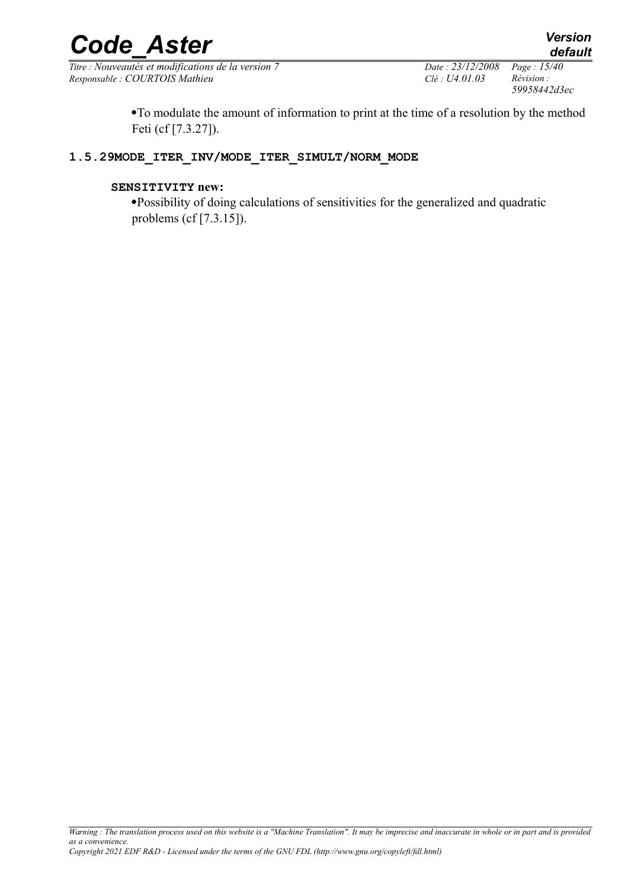*Titre : Nouveautés et modifications de la version 7 Date : 23/12/2008 Page : 15/40 Responsable : COURTOIS Mathieu Clé : U4.01.03 Révision :* 

*59958442d3ec*

·To modulate the amount of information to print at the time of a resolution by the method Feti (cf [7.3.27]).

# **1.5.29MODE\_ITER\_INV/MODE\_ITER\_SIMULT/NORM\_MODE**

#### **SENSITIVITY new:**

·Possibility of doing calculations of sensitivities for the generalized and quadratic problems (cf [7.3.15]).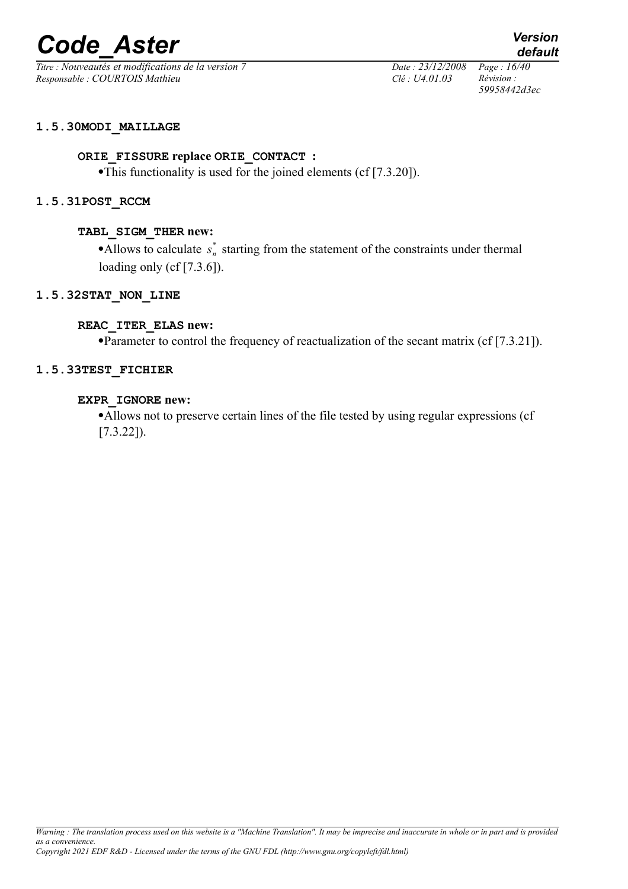*Titre : Nouveautés et modifications de la version 7 Date : 23/12/2008 Page : 16/40 Responsable : COURTOIS Mathieu Clé : U4.01.03 Révision :* 

*59958442d3ec*

*default*

#### **1.5.30MODI\_MAILLAGE**

#### **ORIE\_FISSURE replace ORIE\_CONTACT :**

·This functionality is used for the joined elements (cf [7.3.20]).

#### **1.5.31POST\_RCCM**

#### **TABL\_SIGM\_THER new:**

• Allows to calculate  $s_n^*$  starting from the statement of the constraints under thermal loading only (cf [7.3.6]).

#### **1.5.32STAT\_NON\_LINE**

#### **REAC\_ITER\_ELAS new:**

·Parameter to control the frequency of reactualization of the secant matrix (cf [7.3.21]).

#### **1.5.33TEST\_FICHIER**

#### **EXPR\_IGNORE new:**

·Allows not to preserve certain lines of the file tested by using regular expressions (cf [7.3.22]).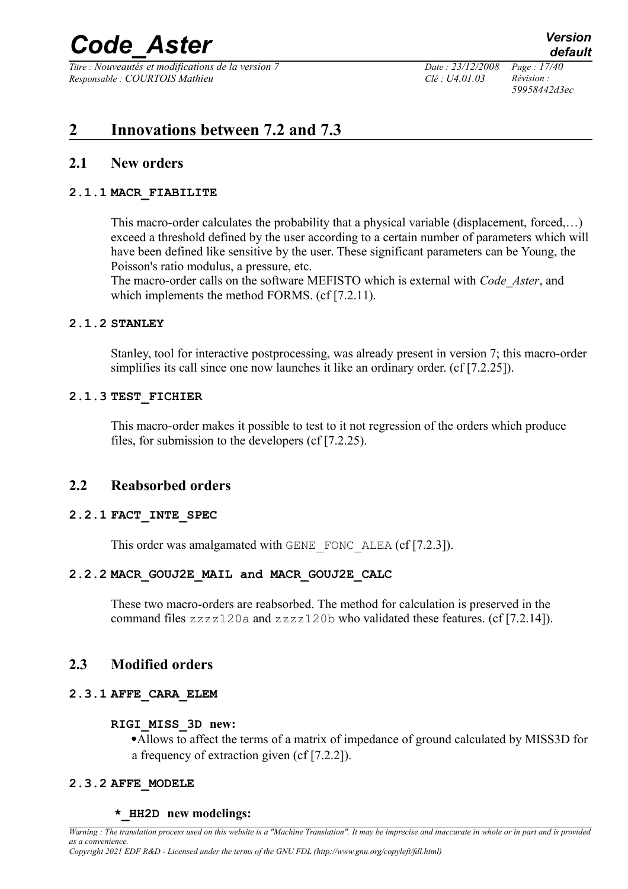*Titre : Nouveautés et modifications de la version 7 Date : 23/12/2008 Page : 17/40 Responsable : COURTOIS Mathieu Clé : U4.01.03 Révision :* 

*59958442d3ec*

# **2 Innovations between 7.2 and 7.3**

# **2.1 New orders**

### **2.1.1 MACR\_FIABILITE**

This macro-order calculates the probability that a physical variable (displacement, forced,…) exceed a threshold defined by the user according to a certain number of parameters which will have been defined like sensitive by the user. These significant parameters can be Young, the Poisson's ratio modulus, a pressure, etc.

The macro-order calls on the software MEFISTO which is external with *Code\_Aster*, and which implements the method FORMS. (cf [7.2.11).

#### **2.1.2 STANLEY**

Stanley, tool for interactive postprocessing, was already present in version 7; this macro-order simplifies its call since one now launches it like an ordinary order. (cf [7.2.25]).

#### **2.1.3 TEST\_FICHIER**

This macro-order makes it possible to test to it not regression of the orders which produce files, for submission to the developers (cf [7.2.25).

# **2.2 Reabsorbed orders**

# **2.2.1 FACT\_INTE\_SPEC**

This order was amalgamated with GENE\_FONC\_ALEA (cf [7.2.3]).

# **2.2.2 MACR\_GOUJ2E\_MAIL and MACR\_GOUJ2E\_CALC**

These two macro-orders are reabsorbed. The method for calculation is preserved in the command files zzzz120a and zzzz120b who validated these features. (cf [7.2.14]).

# **2.3 Modified orders**

# **2.3.1 AFFE\_CARA\_ELEM**

#### **RIGI\_MISS\_3D new:**

·Allows to affect the terms of a matrix of impedance of ground calculated by MISS3D for a frequency of extraction given (cf [7.2.2]).

# **2.3.2 AFFE\_MODELE**

#### **\*\_HH2D new modelings:**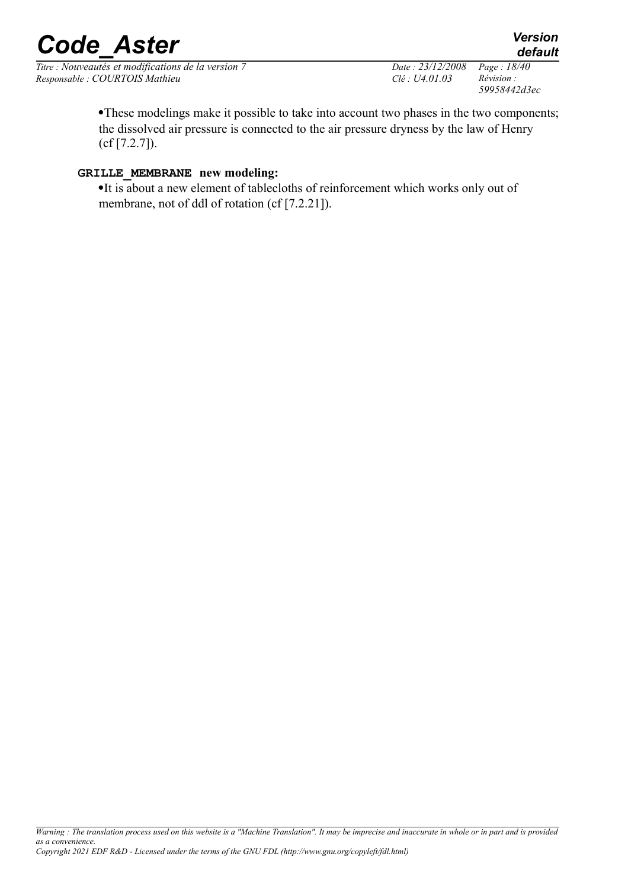*Titre : Nouveautés et modifications de la version 7 Date : 23/12/2008 Page : 18/40 Responsable : COURTOIS Mathieu Clé : U4.01.03 Révision :* 

*59958442d3ec*

*default*

·These modelings make it possible to take into account two phases in the two components; the dissolved air pressure is connected to the air pressure dryness by the law of Henry (cf [7.2.7]).

# **GRILLE\_MEMBRANE new modeling:**

·It is about a new element of tablecloths of reinforcement which works only out of membrane, not of ddl of rotation (cf [7.2.21]).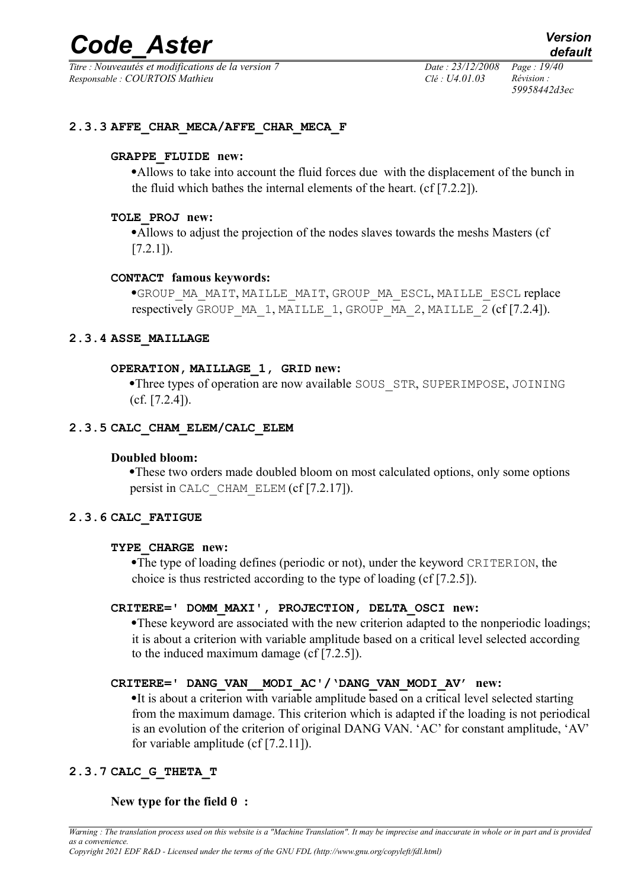*Titre : Nouveautés et modifications de la version 7 Date : 23/12/2008 Page : 19/40 Responsable : COURTOIS Mathieu Clé : U4.01.03 Révision :* 

*59958442d3ec*

#### **2.3.3 AFFE\_CHAR\_MECA/AFFE\_CHAR\_MECA\_F**

#### **GRAPPE\_FLUIDE new:**

·Allows to take into account the fluid forces due with the displacement of the bunch in the fluid which bathes the internal elements of the heart. (cf [7.2.2]).

#### **TOLE\_PROJ new:**

·Allows to adjust the projection of the nodes slaves towards the meshs Masters (cf  $[7.2.1]$ .

#### **CONTACT famous keywords:**

·GROUP\_MA\_MAIT, MAILLE\_MAIT, GROUP\_MA\_ESCL, MAILLE\_ESCL replace respectively GROUP MA\_1, MAILLE\_1, GROUP\_MA\_2, MAILLE\_2 (cf [7.2.4]).

#### **2.3.4 ASSE\_MAILLAGE**

#### **OPERATION, MAILLAGE\_1, GRID new:**

·Three types of operation are now available SOUS\_STR, SUPERIMPOSE, JOINING (cf. [7.2.4]).

#### **2.3.5 CALC\_CHAM\_ELEM/CALC\_ELEM**

#### **Doubled bloom:**

·These two orders made doubled bloom on most calculated options, only some options persist in CALC\_CHAM\_ELEM (cf [7.2.17]).

#### **2.3.6 CALC\_FATIGUE**

#### **TYPE\_CHARGE new:**

·The type of loading defines (periodic or not), under the keyword CRITERION, the choice is thus restricted according to the type of loading (cf [7.2.5]).

#### **CRITERE=' DOMM\_MAXI', PROJECTION, DELTA\_OSCI new:**

·These keyword are associated with the new criterion adapted to the nonperiodic loadings; it is about a criterion with variable amplitude based on a critical level selected according to the induced maximum damage (cf [7.2.5]).

#### **CRITERE=' DANG\_VAN\_\_MODI\_AC'/'DANG\_VAN\_MODI\_AV' new:**

·It is about a criterion with variable amplitude based on a critical level selected starting from the maximum damage. This criterion which is adapted if the loading is not periodical is an evolution of the criterion of original DANG VAN. 'AC' for constant amplitude, 'AV' for variable amplitude (cf [7.2.11]).

#### **2.3.7 CALC\_G\_THETA\_T**

#### **New type for the field**  $\theta$ **:**

*Warning : The translation process used on this website is a "Machine Translation". It may be imprecise and inaccurate in whole or in part and is provided as a convenience. Copyright 2021 EDF R&D - Licensed under the terms of the GNU FDL (http://www.gnu.org/copyleft/fdl.html)*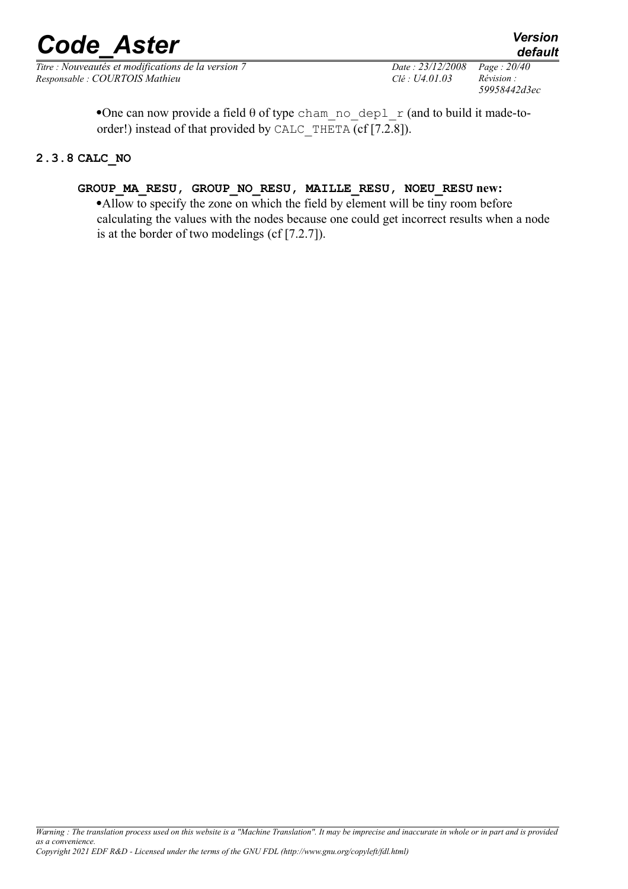•One can now provide a field  $\theta$  of type cham no depl r (and to build it made-toorder!) instead of that provided by CALC\_THETA (cf [7.2.8]).

### **2.3.8 CALC\_NO**

# **GROUP\_MA\_RESU, GROUP\_NO\_RESU, MAILLE\_RESU, NOEU\_RESU new:**

·Allow to specify the zone on which the field by element will be tiny room before calculating the values with the nodes because one could get incorrect results when a node is at the border of two modelings (cf [7.2.7]).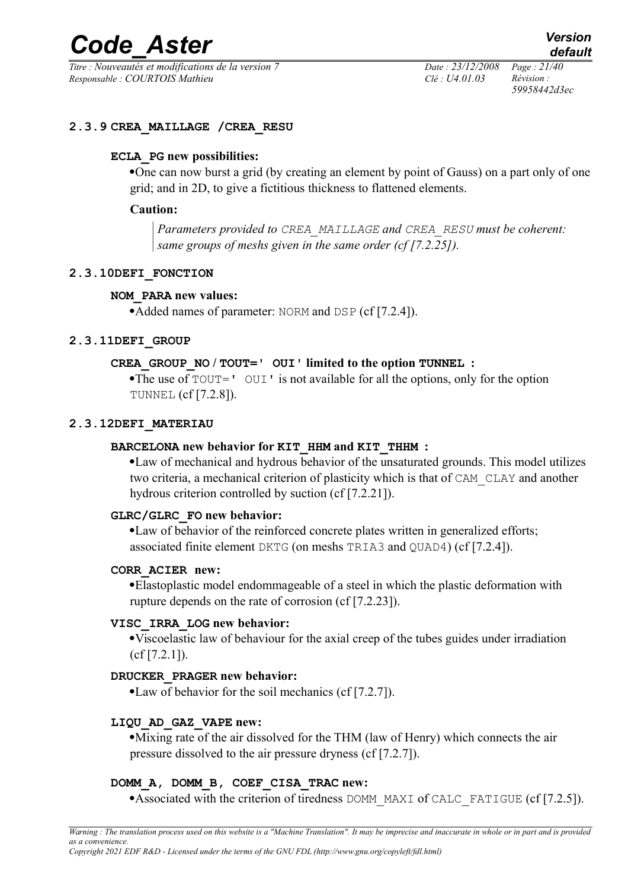*Titre : Nouveautés et modifications de la version 7 Date : 23/12/2008 Page : 21/40 Responsable : COURTOIS Mathieu Clé : U4.01.03 Révision :* 

*59958442d3ec*

#### **2.3.9 CREA\_MAILLAGE /CREA\_RESU**

#### **ECLA\_PG new possibilities:**

·One can now burst a grid (by creating an element by point of Gauss) on a part only of one grid; and in 2D, to give a fictitious thickness to flattened elements.

#### **Caution:**

*Parameters provided to CREA\_MAILLAGE and CREA\_RESU must be coherent: same groups of meshs given in the same order (cf [7.2.25]).*

#### **2.3.10DEFI\_FONCTION**

#### **NOM\_PARA new values:**

• Added names of parameter: NORM and DSP (cf [7.2.4]).

#### **2.3.11DEFI\_GROUP**

#### **CREA\_GROUP\_NO / TOUT=' OUI' limited to the option TUNNEL :**

•The use of  $TOUT = 'OUT'$  is not available for all the options, only for the option TUNNEL (cf [7.2.8]).

#### **2.3.12DEFI\_MATERIAU**

#### **BARCELONA new behavior for KIT\_HHM and KIT\_THHM :**

·Law of mechanical and hydrous behavior of the unsaturated grounds. This model utilizes two criteria, a mechanical criterion of plasticity which is that of CAM\_CLAY and another hydrous criterion controlled by suction (cf [7.2.21]).

#### **GLRC/GLRC\_FO new behavior:**

·Law of behavior of the reinforced concrete plates written in generalized efforts; associated finite element DKTG (on meshs TRIA3 and QUAD4) (cf [7.2.4]).

#### **CORR\_ACIER new:**

·Elastoplastic model endommageable of a steel in which the plastic deformation with rupture depends on the rate of corrosion (cf [7.2.23]).

#### **VISC\_IRRA\_LOG new behavior:**

·Viscoelastic law of behaviour for the axial creep of the tubes guides under irradiation (cf [7.2.1]).

#### **DRUCKER\_PRAGER new behavior:**

·Law of behavior for the soil mechanics (cf [7.2.7]).

#### **LIQU\_AD\_GAZ\_VAPE new:**

·Mixing rate of the air dissolved for the THM (law of Henry) which connects the air pressure dissolved to the air pressure dryness (cf [7.2.7]).

#### **DOMM\_A, DOMM\_B, COEF\_CISA\_TRAC new:**

•Associated with the criterion of tiredness DOMM\_MAXI of CALC\_FATIGUE (cf [7.2.5]).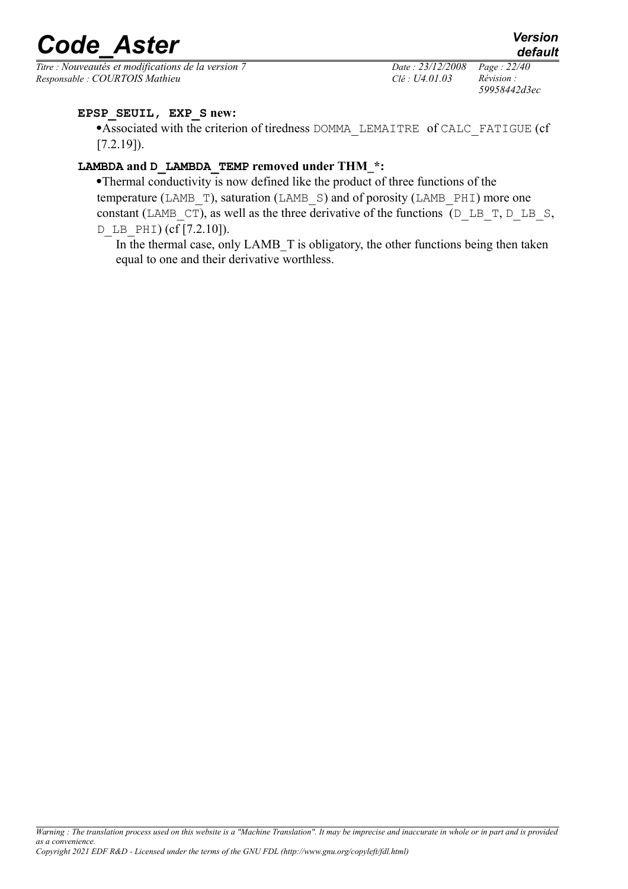*Titre : Nouveautés et modifications de la version 7 Date : 23/12/2008 Page : 22/40 Responsable : COURTOIS Mathieu Clé : U4.01.03 Révision :* 

*59958442d3ec*

# **EPSP\_SEUIL, EXP\_S new:**

·Associated with the criterion of tiredness DOMMA\_LEMAITRE of CALC\_FATIGUE (cf  $[7.2.19]$ ).

# **LAMBDA and D\_LAMBDA\_TEMP removed under THM\_\*:**

·Thermal conductivity is now defined like the product of three functions of the temperature (LAMB  $T$ ), saturation (LAMB  $S$ ) and of porosity (LAMB PHI) more one constant (LAMB  $CT$ ), as well as the three derivative of the functions (D LB T, D LB S, D LB PHI)  $(cf [7.2.10])$ .

In the thermal case, only LAMB T is obligatory, the other functions being then taken equal to one and their derivative worthless.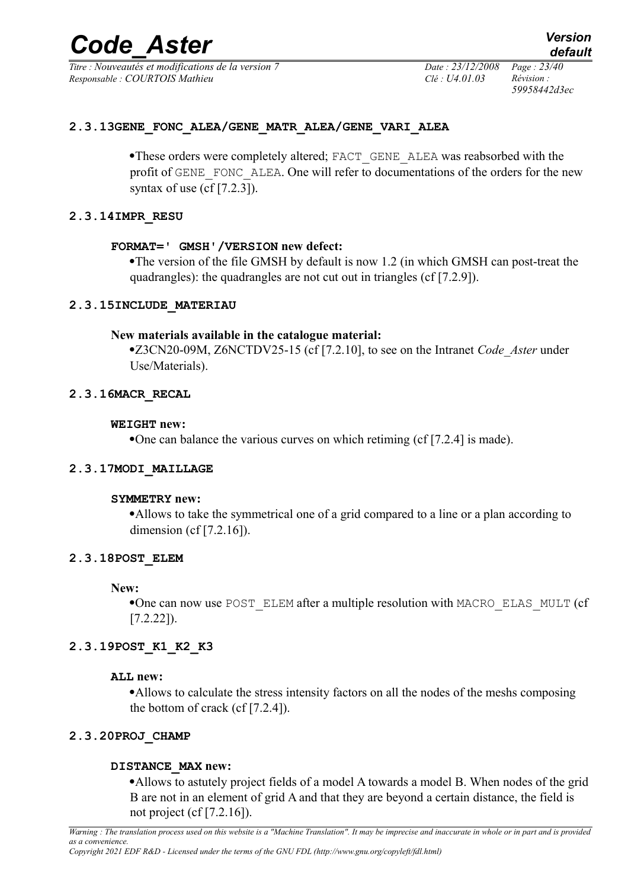*Titre : Nouveautés et modifications de la version 7 Date : 23/12/2008 Page : 23/40 Responsable : COURTOIS Mathieu Clé : U4.01.03 Révision :* 

*59958442d3ec*

#### **2.3.13GENE\_FONC\_ALEA/GENE\_MATR\_ALEA/GENE\_VARI\_ALEA**

•These orders were completely altered; FACT\_GENE\_ALEA was reabsorbed with the profit of GENE\_FONC\_ALEA. One will refer to documentations of the orders for the new syntax of use  $(cf[7.2.3])$ .

#### **2.3.14IMPR\_RESU**

#### **FORMAT=' GMSH'/VERSION new defect:**

·The version of the file GMSH by default is now 1.2 (in which GMSH can post-treat the quadrangles): the quadrangles are not cut out in triangles (cf [7.2.9]).

#### **2.3.15INCLUDE\_MATERIAU**

#### **New materials available in the catalogue material:**

·Z3CN20-09M, Z6NCTDV25-15 (cf [7.2.10], to see on the Intranet *Code\_Aster* under Use/Materials).

#### **2.3.16MACR\_RECAL**

#### **WEIGHT new:**

·One can balance the various curves on which retiming (cf [7.2.4] is made).

#### **2.3.17MODI\_MAILLAGE**

#### **SYMMETRY new:**

·Allows to take the symmetrical one of a grid compared to a line or a plan according to dimension (cf [7.2.16]).

#### **2.3.18POST\_ELEM**

**New:**

·One can now use POST\_ELEM after a multiple resolution with MACRO\_ELAS\_MULT (cf [7.2.22]).

#### **2.3.19POST\_K1\_K2\_K3**

#### **ALL new:**

·Allows to calculate the stress intensity factors on all the nodes of the meshs composing the bottom of crack (cf [7.2.4]).

#### **2.3.20PROJ\_CHAMP**

#### **DISTANCE\_MAX new:**

·Allows to astutely project fields of a model A towards a model B. When nodes of the grid B are not in an element of grid A and that they are beyond a certain distance, the field is not project (cf [7.2.16]).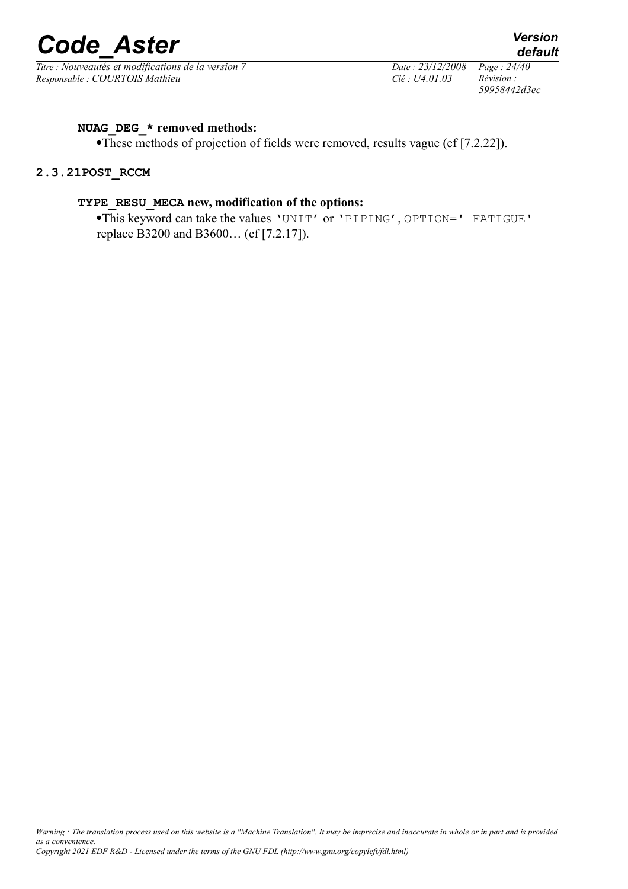

*Titre : Nouveautés et modifications de la version 7 Date : 23/12/2008 Page : 24/40 Responsable : COURTOIS Mathieu Clé : U4.01.03 Révision :* 

*59958442d3ec*

*default*

#### **NUAG\_DEG\_\* removed methods:**

·These methods of projection of fields were removed, results vague (cf [7.2.22]).

#### **2.3.21POST\_RCCM**

#### **TYPE\_RESU\_MECA new, modification of the options:**

·This keyword can take the values 'UNIT' or 'PIPING', OPTION=' FATIGUE' replace B3200 and B3600… (cf [7.2.17]).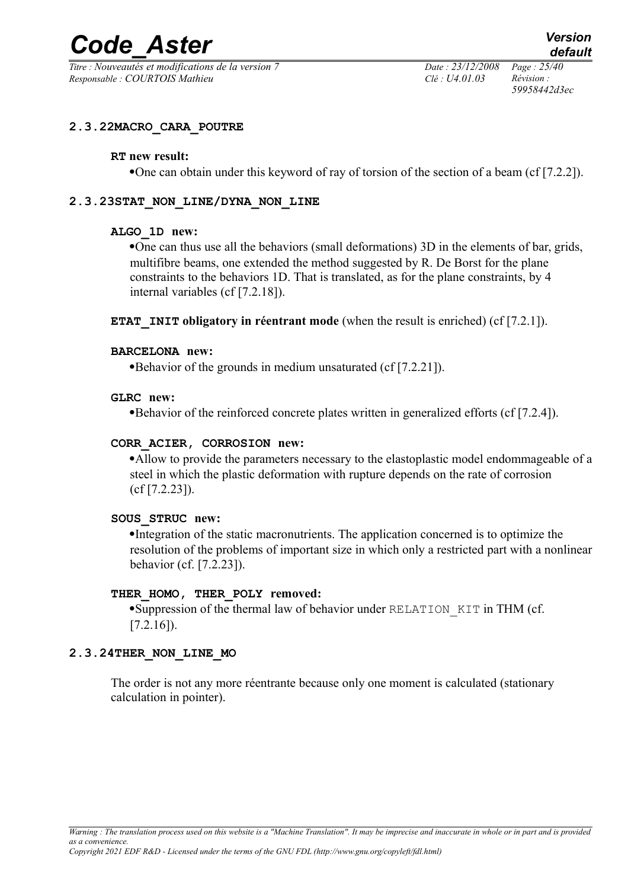*Titre : Nouveautés et modifications de la version 7 Date : 23/12/2008 Page : 25/40 Responsable : COURTOIS Mathieu Clé : U4.01.03 Révision :* 

*59958442d3ec*

#### **2.3.22MACRO\_CARA\_POUTRE**

#### **RT new result:**

·One can obtain under this keyword of ray of torsion of the section of a beam (cf [7.2.2]).

#### **2.3.23STAT\_NON\_LINE/DYNA\_NON\_LINE**

#### **ALGO\_1D new:**

·One can thus use all the behaviors (small deformations) 3D in the elements of bar, grids, multifibre beams, one extended the method suggested by R. De Borst for the plane constraints to the behaviors 1D. That is translated, as for the plane constraints, by 4 internal variables (cf [7.2.18]).

**ETAT** INIT obligatory in réentrant mode (when the result is enriched) (cf [7.2.1]).

#### **BARCELONA new:**

·Behavior of the grounds in medium unsaturated (cf [7.2.21]).

#### **GLRC new:**

·Behavior of the reinforced concrete plates written in generalized efforts (cf [7.2.4]).

#### **CORR\_ACIER, CORROSION new:**

·Allow to provide the parameters necessary to the elastoplastic model endommageable of a steel in which the plastic deformation with rupture depends on the rate of corrosion (cf [7.2.23]).

#### **SOUS\_STRUC new:**

·Integration of the static macronutrients. The application concerned is to optimize the resolution of the problems of important size in which only a restricted part with a nonlinear behavior (cf. [7.2.23]).

#### **THER\_HOMO, THER\_POLY removed:**

·Suppression of the thermal law of behavior under RELATION\_KIT in THM (cf.  $[7.2.16]$ ).

#### **2.3.24THER\_NON\_LINE\_MO**

The order is not any more réentrante because only one moment is calculated (stationary calculation in pointer).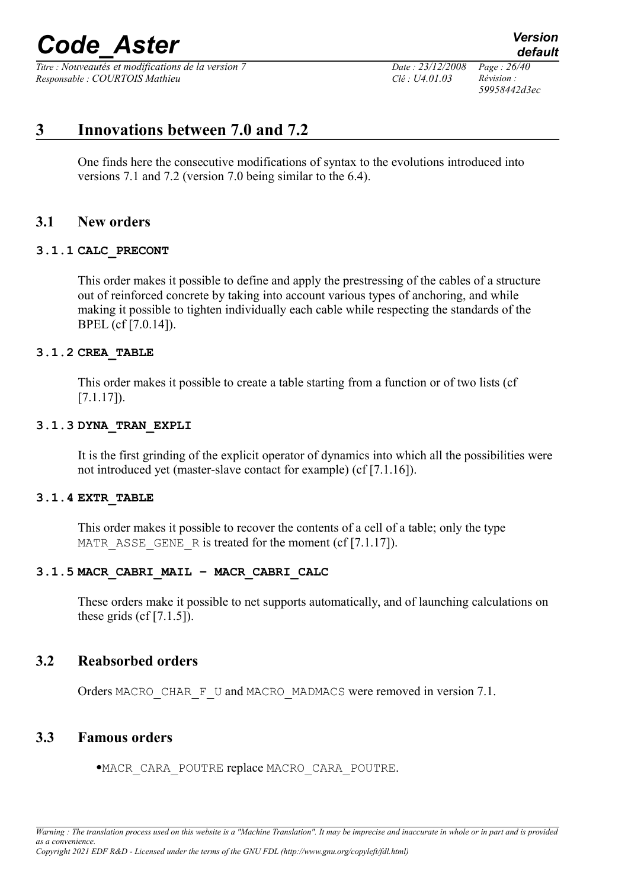*Titre : Nouveautés et modifications de la version 7 Date : 23/12/2008 Page : 26/40 Responsable : COURTOIS Mathieu Clé : U4.01.03 Révision :* 

*59958442d3ec*

*default*

# **3 Innovations between 7.0 and 7.2**

One finds here the consecutive modifications of syntax to the evolutions introduced into versions 7.1 and 7.2 (version 7.0 being similar to the 6.4).

# **3.1 New orders**

#### **3.1.1 CALC\_PRECONT**

This order makes it possible to define and apply the prestressing of the cables of a structure out of reinforced concrete by taking into account various types of anchoring, and while making it possible to tighten individually each cable while respecting the standards of the BPEL (cf [7.0.14]).

#### **3.1.2 CREA\_TABLE**

This order makes it possible to create a table starting from a function or of two lists (cf [7.1.17]).

#### **3.1.3 DYNA\_TRAN\_EXPLI**

It is the first grinding of the explicit operator of dynamics into which all the possibilities were not introduced yet (master-slave contact for example) (cf [7.1.16]).

#### **3.1.4 EXTR\_TABLE**

This order makes it possible to recover the contents of a cell of a table; only the type MATR ASSE GENE R is treated for the moment (cf  $[7.1.17]$ ).

#### **3.1.5 MACR\_CABRI\_MAIL – MACR\_CABRI\_CALC**

These orders make it possible to net supports automatically, and of launching calculations on these grids  $(cf[7.1.5])$ .

# **3.2 Reabsorbed orders**

Orders MACRO\_CHAR\_F\_U and MACRO\_MADMACS were removed in version 7.1.

# **3.3 Famous orders**

·MACR\_CARA\_POUTRE replace MACRO\_CARA\_POUTRE.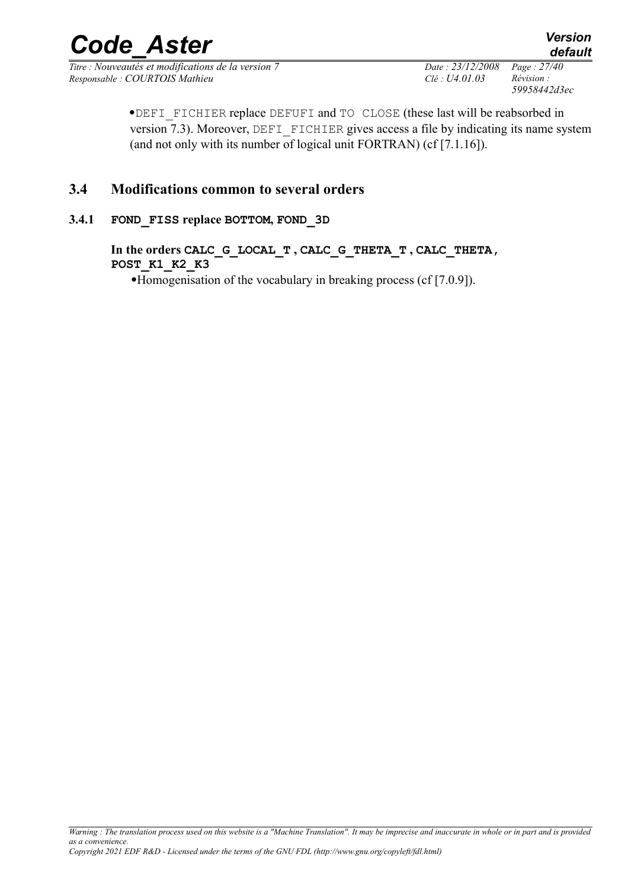*Titre : Nouveautés et modifications de la version 7 Date : 23/12/2008 Page : 27/40 Responsable : COURTOIS Mathieu Clé : U4.01.03 Révision :* 

*59958442d3ec*

·DEFI\_FICHIER replace DEFUFI and TO CLOSE (these last will be reabsorbed in version 7.3). Moreover, DEFI FICHIER gives access a file by indicating its name system (and not only with its number of logical unit FORTRAN) (cf [7.1.16]).

# **3.4 Modifications common to several orders**

# **3.4.1 FOND\_FISS replace BOTTOM, FOND\_3D**

**In the orders CALC\_G\_LOCAL\_T , CALC\_G\_THETA\_T , CALC\_THETA, POST\_K1\_K2\_K3**

·Homogenisation of the vocabulary in breaking process (cf [7.0.9]).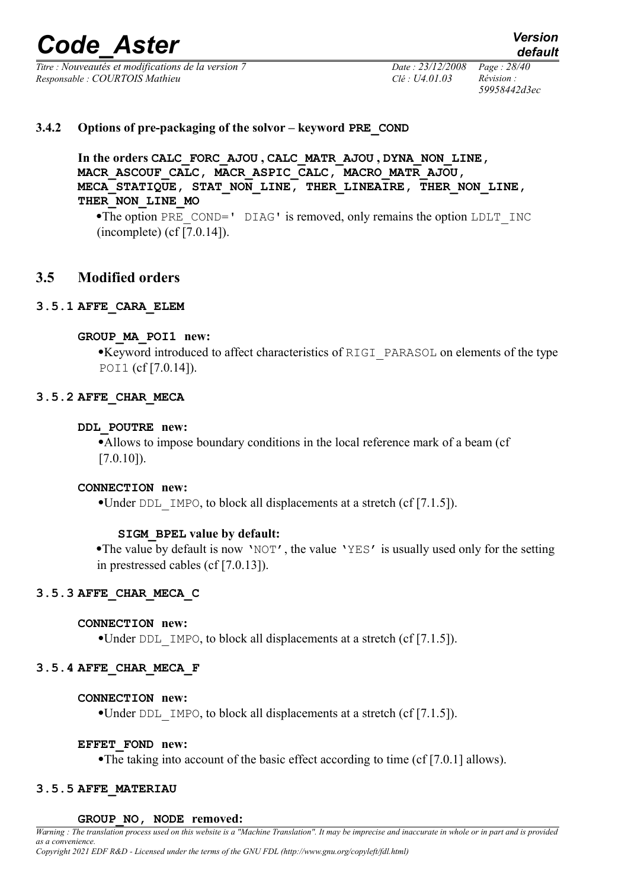*Titre : Nouveautés et modifications de la version 7 Date : 23/12/2008 Page : 28/40 Responsable : COURTOIS Mathieu Clé : U4.01.03 Révision :* 

*59958442d3ec*

#### **3.4.2 Options of pre-packaging of the solvor – keyword PRE\_COND**

**In the orders CALC\_FORC\_AJOU , CALC\_MATR\_AJOU , DYNA\_NON\_LINE, MACR\_ASCOUF\_CALC, MACR\_ASPIC\_CALC, MACRO\_MATR\_AJOU, MECA\_STATIQUE, STAT\_NON\_LINE, THER\_LINEAIRE, THER\_NON\_LINE, THER\_NON\_LINE\_MO**

•The option PRE\_COND=' DIAG' is removed, only remains the option LDLT\_INC (incomplete) (cf [7.0.14]).

# **3.5 Modified orders**

#### **3.5.1 AFFE\_CARA\_ELEM**

#### **GROUP\_MA\_POI1 new:**

·Keyword introduced to affect characteristics of RIGI\_PARASOL on elements of the type POI1 (cf [7.0.14]).

#### **3.5.2 AFFE\_CHAR\_MECA**

#### **DDL\_POUTRE new:**

·Allows to impose boundary conditions in the local reference mark of a beam (cf [7.0.10]).

#### **CONNECTION new:**

•Under DDL IMPO, to block all displacements at a stretch (cf [7.1.5]).

#### **SIGM\_BPEL value by default:**

•The value by default is now 'NOT', the value 'YES' is usually used only for the setting in prestressed cables (cf [7.0.13]).

#### **3.5.3 AFFE\_CHAR\_MECA\_C**

#### **CONNECTION new:**

•Under DDL IMPO, to block all displacements at a stretch (cf [7.1.5]).

# **3.5.4 AFFE\_CHAR\_MECA\_F**

# **CONNECTION new:**

•Under DDL IMPO, to block all displacements at a stretch (cf [7.1.5]).

# **EFFET\_FOND new:**

·The taking into account of the basic effect according to time (cf [7.0.1] allows).

# **3.5.5 AFFE\_MATERIAU**

#### **GROUP\_NO, NODE removed:**

*Warning : The translation process used on this website is a "Machine Translation". It may be imprecise and inaccurate in whole or in part and is provided as a convenience.*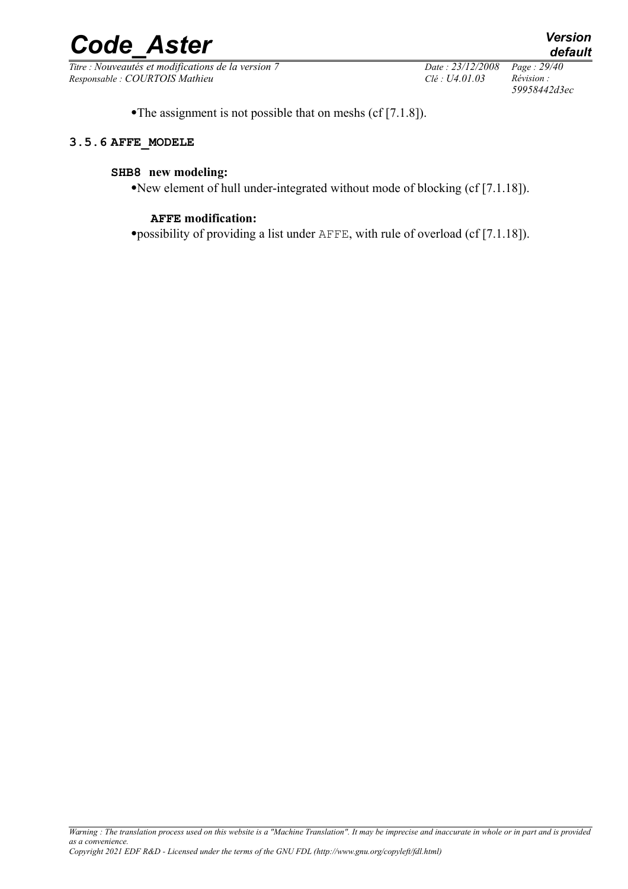*Titre : Nouveautés et modifications de la version 7 Date : 23/12/2008 Page : 29/40 Responsable : COURTOIS Mathieu Clé : U4.01.03 Révision :* 

*59958442d3ec*

•The assignment is not possible that on meshs (cf [7.1.8]).

#### **3.5.6 AFFE\_MODELE**

#### **SHB8 new modeling:**

·New element of hull under-integrated without mode of blocking (cf [7.1.18]).

#### **AFFE modification:**

·possibility of providing a list under AFFE, with rule of overload (cf [7.1.18]).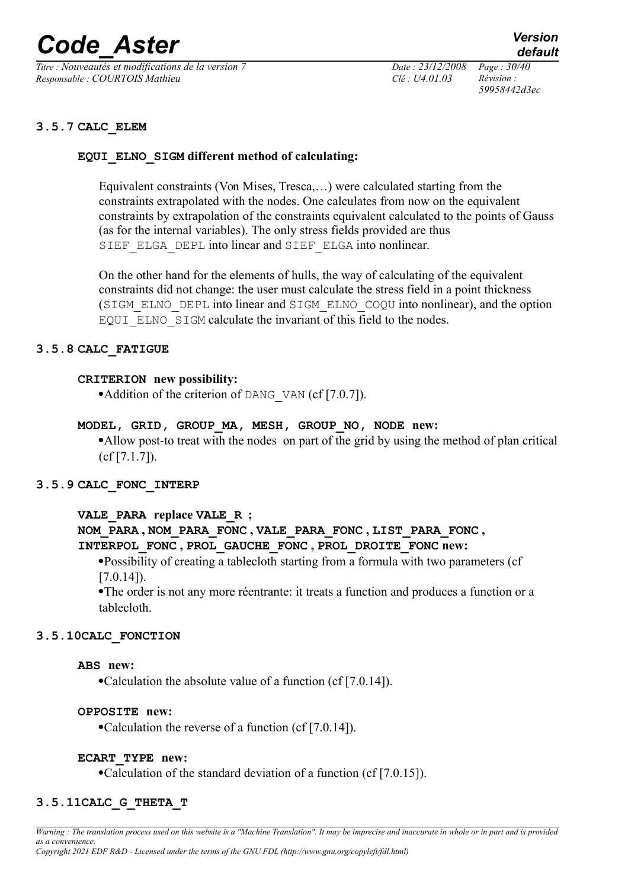*Titre : Nouveautés et modifications de la version 7 Date : 23/12/2008 Page : 30/40 Responsable : COURTOIS Mathieu Clé : U4.01.03 Révision :* 

*59958442d3ec*

#### **3.5.7 CALC\_ELEM**

#### **EQUI\_ELNO\_SIGM different method of calculating:**

Equivalent constraints (Von Mises, Tresca,…) were calculated starting from the constraints extrapolated with the nodes. One calculates from now on the equivalent constraints by extrapolation of the constraints equivalent calculated to the points of Gauss (as for the internal variables). The only stress fields provided are thus SIEF ELGA DEPL into linear and SIEF ELGA into nonlinear.

On the other hand for the elements of hulls, the way of calculating of the equivalent constraints did not change: the user must calculate the stress field in a point thickness (SIGM\_ELNO\_DEPL into linear and SIGM\_ELNO\_COQU into nonlinear), and the option EQUI ELNO SIGM calculate the invariant of this field to the nodes.

#### **3.5.8 CALC\_FATIGUE**

#### **CRITERION new possibility:**

• Addition of the criterion of DANG VAN (cf [7.0.7]).

**MODEL, GRID, GROUP\_MA, MESH, GROUP\_NO, NODE new:**

·Allow post-to treat with the nodes on part of the grid by using the method of plan critical (cf [7.1.7]).

#### **3.5.9 CALC\_FONC\_INTERP**

#### **VALE\_PARA replace VALE\_R ;**

#### **NOM\_PARA , NOM\_PARA\_FONC , VALE\_PARA\_FONC , LIST\_PARA\_FONC , INTERPOL\_FONC , PROL\_GAUCHE\_FONC , PROL\_DROITE\_FONC new:**

·Possibility of creating a tablecloth starting from a formula with two parameters (cf  $[7.0.14]$ .

·The order is not any more réentrante: it treats a function and produces a function or a tablecloth.

#### **3.5.10CALC\_FONCTION**

#### **ABS new:**

·Calculation the absolute value of a function (cf [7.0.14]).

#### **OPPOSITE new:**

·Calculation the reverse of a function (cf [7.0.14]).

#### **ECART\_TYPE new:**

·Calculation of the standard deviation of a function (cf [7.0.15]).

#### **3.5.11CALC\_G\_THETA\_T**

*Warning : The translation process used on this website is a "Machine Translation". It may be imprecise and inaccurate in whole or in part and is provided as a convenience.*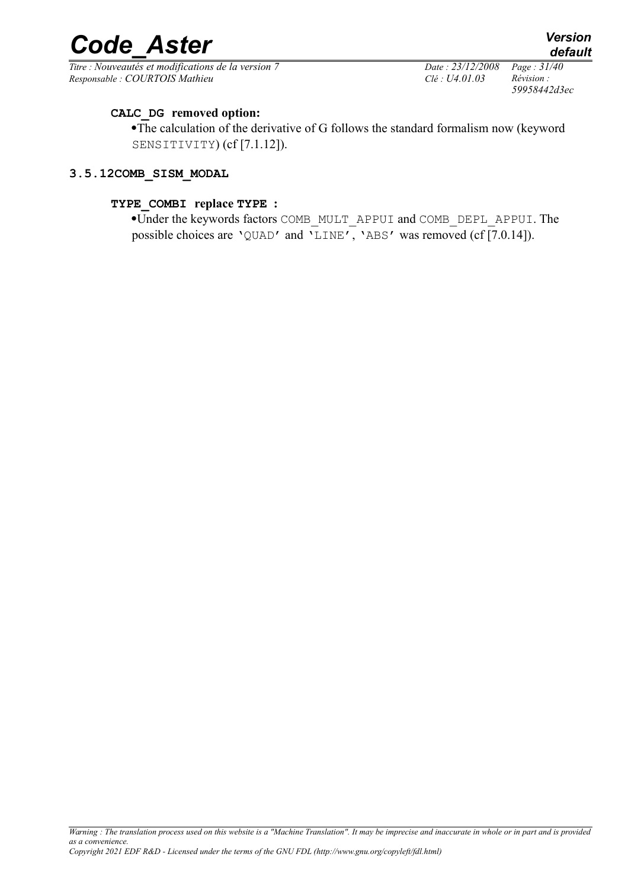*Titre : Nouveautés et modifications de la version 7 Date : 23/12/2008 Page : 31/40 Responsable : COURTOIS Mathieu Clé : U4.01.03 Révision :* 

*59958442d3ec*

# **CALC\_DG removed option:**

·The calculation of the derivative of G follows the standard formalism now (keyword SENSITIVITY) (cf [7.1.12]).

#### **3.5.12COMB\_SISM\_MODAL**

#### **TYPE\_COMBI replace TYPE :**

·Under the keywords factors COMB\_MULT\_APPUI and COMB\_DEPL\_APPUI. The possible choices are 'QUAD' and 'LINE', 'ABS' was removed (cf [7.0.14]).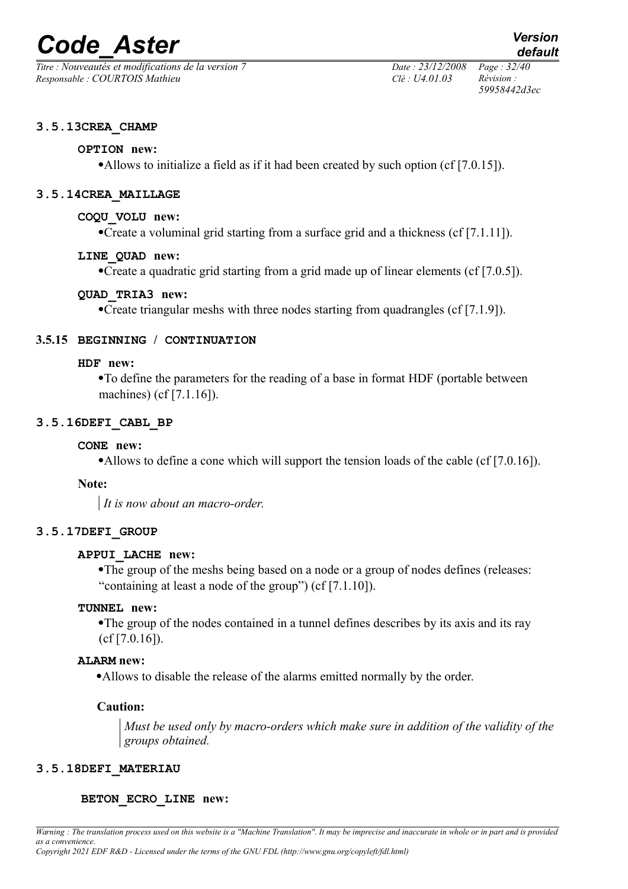*Titre : Nouveautés et modifications de la version 7 Date : 23/12/2008 Page : 32/40 Responsable : COURTOIS Mathieu Clé : U4.01.03 Révision :* 

*59958442d3ec*

#### **3.5.13CREA\_CHAMP**

#### **OPTION new:**

·Allows to initialize a field as if it had been created by such option (cf [7.0.15]).

#### **3.5.14CREA\_MAILLAGE**

#### **COQU\_VOLU new:**

·Create a voluminal grid starting from a surface grid and a thickness (cf [7.1.11]).

#### **LINE\_QUAD new:**

·Create a quadratic grid starting from a grid made up of linear elements (cf [7.0.5]).

# **QUAD\_TRIA3 new:**

·Create triangular meshs with three nodes starting from quadrangles (cf [7.1.9]).

#### **3.5.15 BEGINNING / CONTINUATION**

#### **HDF new:**

·To define the parameters for the reading of a base in format HDF (portable between machines) (cf [7.1.16]).

#### **3.5.16DEFI\_CABL\_BP**

#### **CONE new:**

·Allows to define a cone which will support the tension loads of the cable (cf [7.0.16]).

#### **Note:**

*It is now about an macro-order.*

#### **3.5.17DEFI\_GROUP**

#### **APPUI\_LACHE new:**

·The group of the meshs being based on a node or a group of nodes defines (releases: "containing at least a node of the group") (cf [7.1.10]).

# **TUNNEL new:**

·The group of the nodes contained in a tunnel defines describes by its axis and its ray (cf [7.0.16]).

#### **ALARM new:**

·Allows to disable the release of the alarms emitted normally by the order.

#### **Caution:**

*Must be used only by macro-orders which make sure in addition of the validity of the groups obtained.*

#### **3.5.18DEFI\_MATERIAU**

#### **BETON\_ECRO\_LINE new:**

*Warning : The translation process used on this website is a "Machine Translation". It may be imprecise and inaccurate in whole or in part and is provided as a convenience.*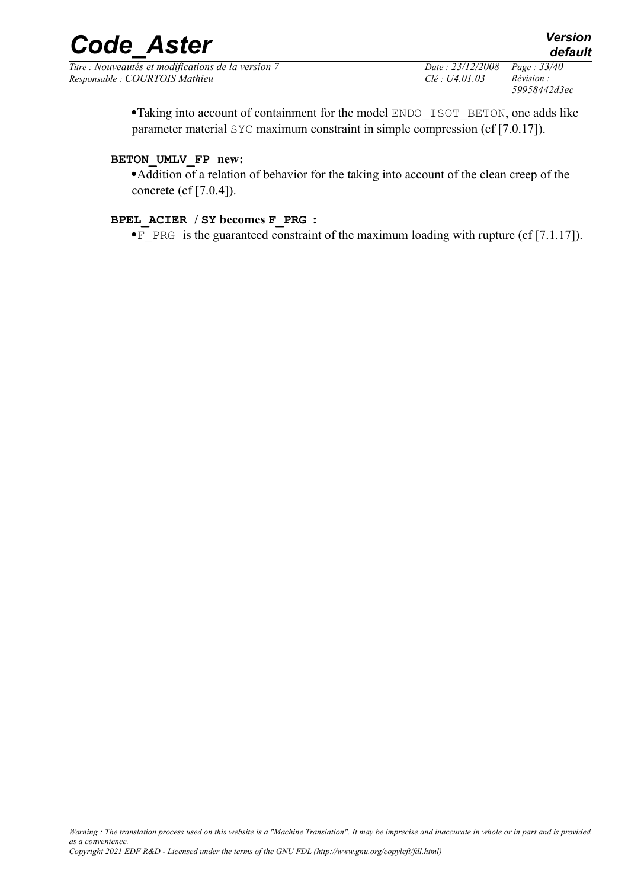*Titre : Nouveautés et modifications de la version 7 Date : 23/12/2008 Page : 33/40 Responsable : COURTOIS Mathieu Clé : U4.01.03 Révision :* 

*59958442d3ec*

·Taking into account of containment for the model ENDO\_ISOT\_BETON, one adds like parameter material SYC maximum constraint in simple compression (cf [7.0.17]).

### **BETON\_UMLV\_FP new:**

·Addition of a relation of behavior for the taking into account of the clean creep of the concrete (cf [7.0.4]).

#### **BPEL\_ACIER / SY becomes F\_PRG :**

• $F$  PRG is the guaranteed constraint of the maximum loading with rupture (cf [7.1.17]).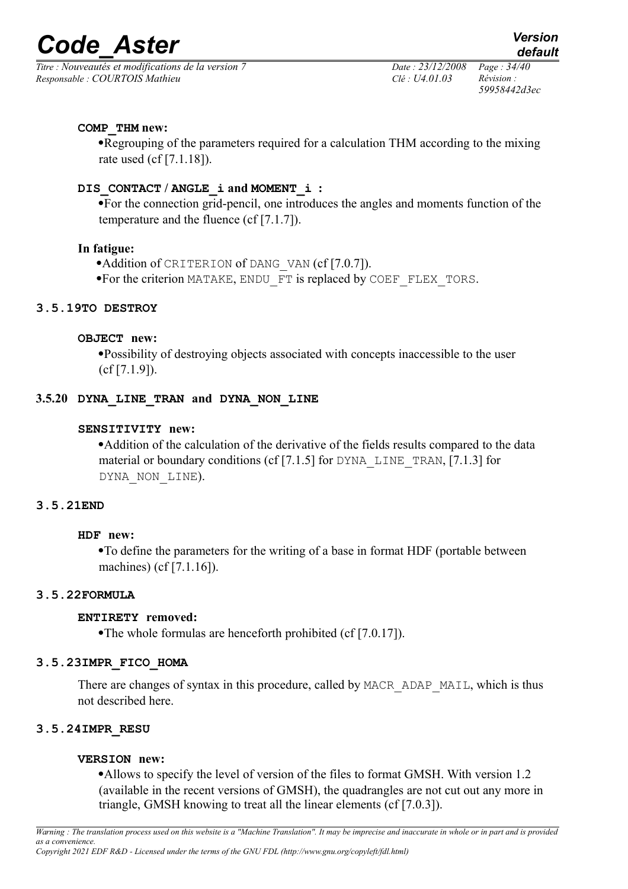*Titre : Nouveautés et modifications de la version 7 Date : 23/12/2008 Page : 34/40 Responsable : COURTOIS Mathieu Clé : U4.01.03 Révision :* 

*59958442d3ec*

# **COMP\_THM new:**

·Regrouping of the parameters required for a calculation THM according to the mixing rate used (cf [7.1.18]).

# **DIS\_CONTACT / ANGLE\_i and MOMENT\_i :**

·For the connection grid-pencil, one introduces the angles and moments function of the temperature and the fluence (cf [7.1.7]).

#### **In fatigue:**

·Addition of CRITERION of DANG\_VAN (cf [7.0.7]).

·For the criterion MATAKE, ENDU\_FT is replaced by COEF\_FLEX\_TORS.

#### **3.5.19TO DESTROY**

#### **OBJECT new:**

·Possibility of destroying objects associated with concepts inaccessible to the user (cf [7.1.9]).

#### **3.5.20 DYNA\_LINE\_TRAN and DYNA\_NON\_LINE**

#### **SENSITIVITY new:**

·Addition of the calculation of the derivative of the fields results compared to the data material or boundary conditions (cf [7.1.5] for DYNA LINE TRAN, [7.1.3] for DYNA NON LINE).

# **3.5.21END**

#### **HDF new:**

·To define the parameters for the writing of a base in format HDF (portable between machines) (cf [7.1.16]).

#### **3.5.22FORMULA**

# **ENTIRETY removed:**

·The whole formulas are henceforth prohibited (cf [7.0.17]).

# **3.5.23IMPR\_FICO\_HOMA**

There are changes of syntax in this procedure, called by MACR\_ADAP\_MAIL, which is thus not described here.

# **3.5.24IMPR\_RESU**

# **VERSION new:**

·Allows to specify the level of version of the files to format GMSH. With version 1.2 (available in the recent versions of GMSH), the quadrangles are not cut out any more in triangle, GMSH knowing to treat all the linear elements (cf [7.0.3]).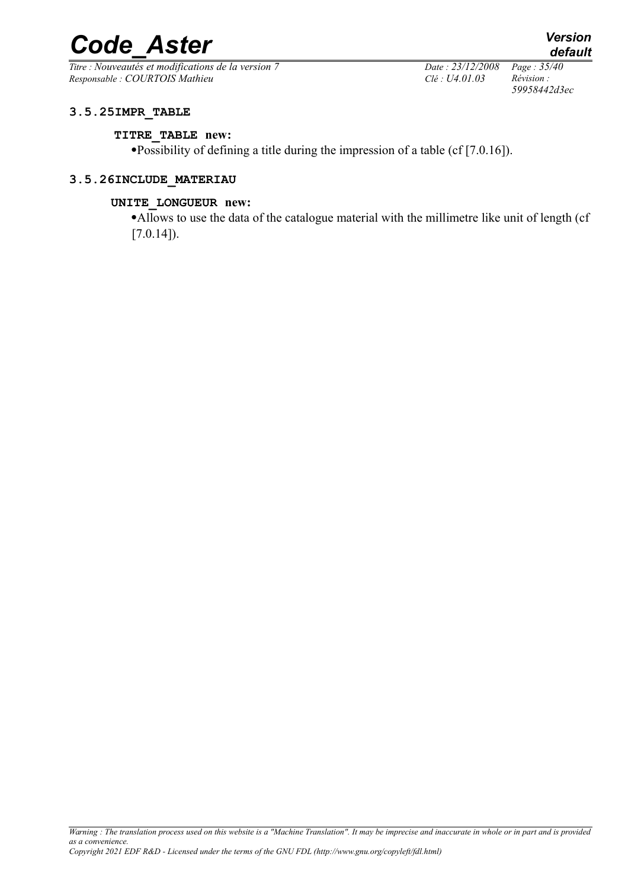*Titre : Nouveautés et modifications de la version 7 Date : 23/12/2008 Page : 35/40 Responsable : COURTOIS Mathieu Clé : U4.01.03 Révision :* 

*59958442d3ec*

# **3.5.25IMPR\_TABLE**

#### **TITRE\_TABLE new:**

·Possibility of defining a title during the impression of a table (cf [7.0.16]).

#### **3.5.26INCLUDE\_MATERIAU**

#### **UNITE\_LONGUEUR new:**

·Allows to use the data of the catalogue material with the millimetre like unit of length (cf  $[7.0.14]$ .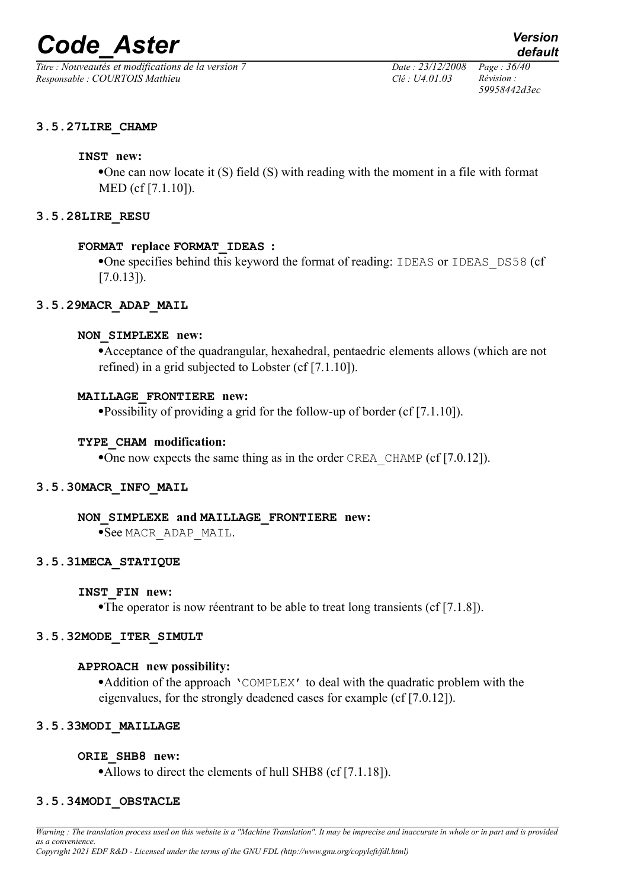*Titre : Nouveautés et modifications de la version 7 Date : 23/12/2008 Page : 36/40 Responsable : COURTOIS Mathieu Clé : U4.01.03 Révision :* 

*59958442d3ec*

#### **3.5.27LIRE\_CHAMP**

#### **INST new:**

·One can now locate it (S) field (S) with reading with the moment in a file with format MED (cf [7.1.10]).

#### **3.5.28LIRE\_RESU**

#### **FORMAT replace FORMAT\_IDEAS :**

·One specifies behind this keyword the format of reading: IDEAS or IDEAS\_DS58 (cf  $[7.0.13]$ .

#### **3.5.29MACR\_ADAP\_MAIL**

#### **NON\_SIMPLEXE new:**

·Acceptance of the quadrangular, hexahedral, pentaedric elements allows (which are not refined) in a grid subjected to Lobster (cf [7.1.10]).

#### **MAILLAGE\_FRONTIERE new:**

·Possibility of providing a grid for the follow-up of border (cf [7.1.10]).

#### **TYPE\_CHAM modification:**

•One now expects the same thing as in the order CREA\_CHAMP (cf  $[7.0.12]$ ).

#### **3.5.30MACR\_INFO\_MAIL**

#### **NON\_SIMPLEXE and MAILLAGE\_FRONTIERE new:**

·See MACR\_ADAP\_MAIL.

#### **3.5.31MECA\_STATIQUE**

#### **INST\_FIN new:**

·The operator is now réentrant to be able to treat long transients (cf [7.1.8]).

#### **3.5.32MODE\_ITER\_SIMULT**

#### **APPROACH new possibility:**

·Addition of the approach 'COMPLEX' to deal with the quadratic problem with the eigenvalues, for the strongly deadened cases for example (cf [7.0.12]).

#### **3.5.33MODI\_MAILLAGE**

#### **ORIE\_SHB8 new:**

•Allows to direct the elements of hull SHB8 (cf [7.1.18]).

#### **3.5.34MODI\_OBSTACLE**

*Warning : The translation process used on this website is a "Machine Translation". It may be imprecise and inaccurate in whole or in part and is provided as a convenience. Copyright 2021 EDF R&D - Licensed under the terms of the GNU FDL (http://www.gnu.org/copyleft/fdl.html)*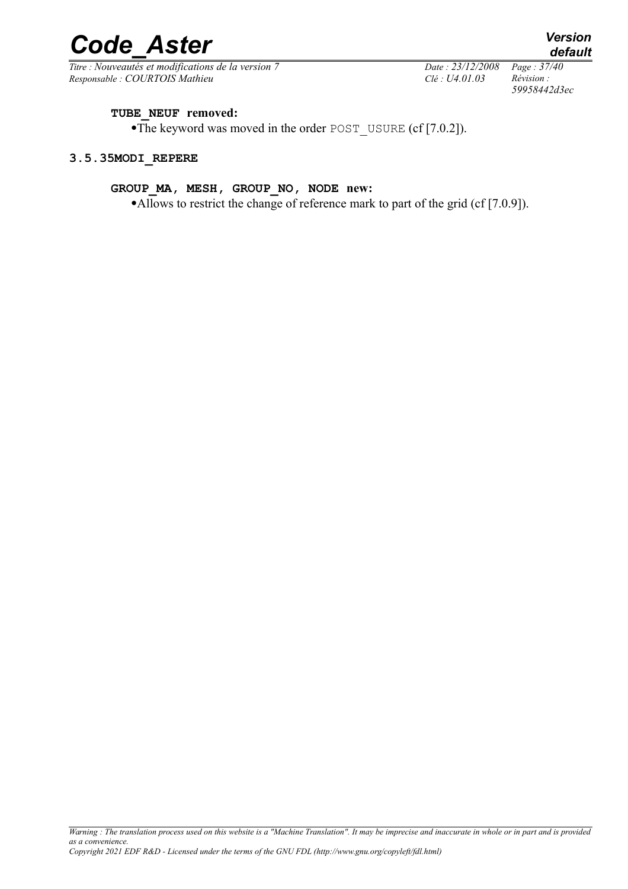*Titre : Nouveautés et modifications de la version 7 Date : 23/12/2008 Page : 37/40 Responsable : COURTOIS Mathieu Clé : U4.01.03 Révision :* 

# *default 59958442d3ec*

#### **TUBE\_NEUF removed:**

·The keyword was moved in the order POST\_USURE (cf [7.0.2]).

#### **3.5.35MODI\_REPERE**

#### **GROUP\_MA, MESH, GROUP\_NO, NODE new:**

•Allows to restrict the change of reference mark to part of the grid (cf [7.0.9]).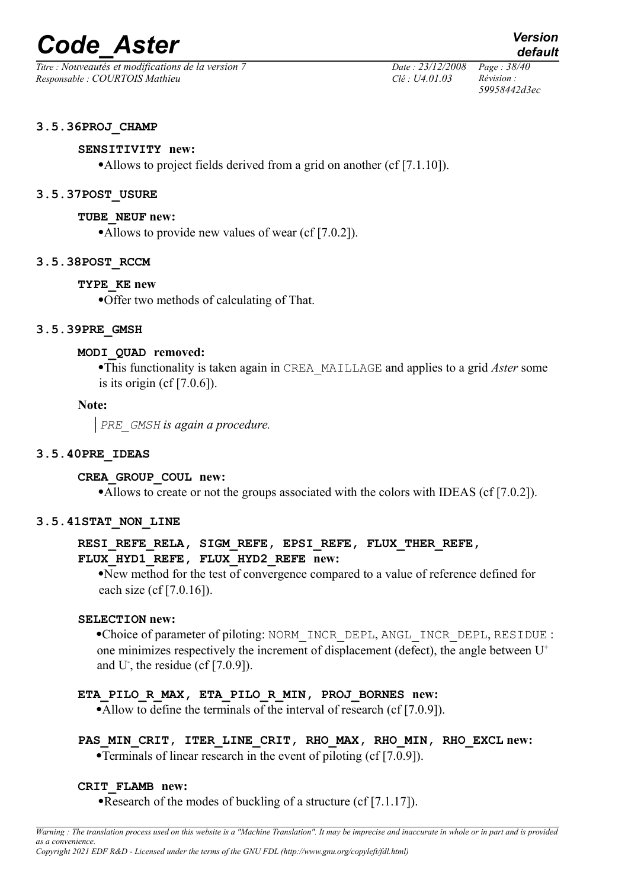*Titre : Nouveautés et modifications de la version 7 Date : 23/12/2008 Page : 38/40 Responsable : COURTOIS Mathieu Clé : U4.01.03 Révision :* 

*59958442d3ec*

*default*

#### **3.5.36PROJ\_CHAMP**

#### **SENSITIVITY new:**

•Allows to project fields derived from a grid on another (cf [7.1.10]).

#### **3.5.37POST\_USURE**

#### **TUBE\_NEUF new:**

•Allows to provide new values of wear (cf [7.0.2]).

#### **3.5.38POST\_RCCM**

#### **TYPE\_KE new**

·Offer two methods of calculating of That.

#### **3.5.39PRE\_GMSH**

#### **MODI\_QUAD removed:**

·This functionality is taken again in CREA\_MAILLAGE and applies to a grid *Aster* some is its origin  $(cf[7.0.6])$ .

#### **Note:**

*PRE\_GMSH is again a procedure.*

#### **3.5.40PRE\_IDEAS**

#### **CREA\_GROUP\_COUL new:**

•Allows to create or not the groups associated with the colors with IDEAS (cf [7.0.2]).

#### **3.5.41STAT\_NON\_LINE**

# RESI\_REFE\_RELA, SIGM\_REFE, EPSI\_REFE, FLUX\_THER\_REFE, **FLUX\_HYD1\_REFE, FLUX\_HYD2\_REFE new:**

·New method for the test of convergence compared to a value of reference defined for each size (cf [7.0.16]).

#### **SELECTION new:**

·Choice of parameter of piloting: NORM\_INCR\_DEPL, ANGL\_INCR\_DEPL, RESIDUE : one minimizes respectively the increment of displacement (defect), the angle between  $U^+$ and U<sup>-</sup>, the residue (cf  $[7.0.9]$ ).

#### **ETA\_PILO\_R\_MAX, ETA\_PILO\_R\_MIN, PROJ\_BORNES new:**

•Allow to define the terminals of the interval of research (cf [7.0.9]).

# **PAS\_MIN\_CRIT, ITER\_LINE\_CRIT, RHO\_MAX, RHO\_MIN, RHO\_EXCL new:**

·Terminals of linear research in the event of piloting (cf [7.0.9]).

#### **CRIT\_FLAMB new:**

•Research of the modes of buckling of a structure (cf [7.1.17]).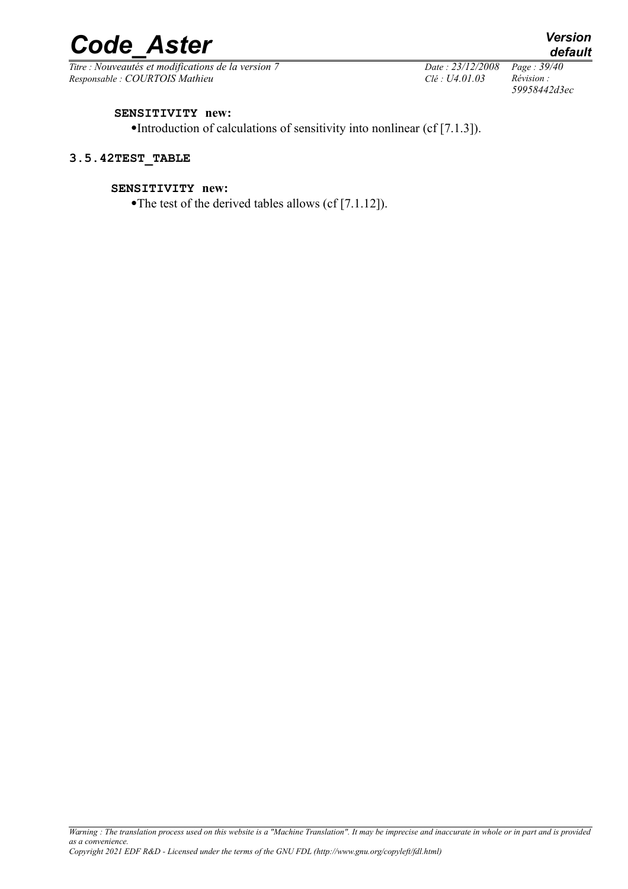*Titre : Nouveautés et modifications de la version 7 Date : 23/12/2008 Page : 39/40 Responsable : COURTOIS Mathieu Clé : U4.01.03 Révision :* 

*59958442d3ec*

#### **SENSITIVITY new:**

·Introduction of calculations of sensitivity into nonlinear (cf [7.1.3]).

#### **3.5.42TEST\_TABLE**

#### **SENSITIVITY new:**

•The test of the derived tables allows (cf [7.1.12]).